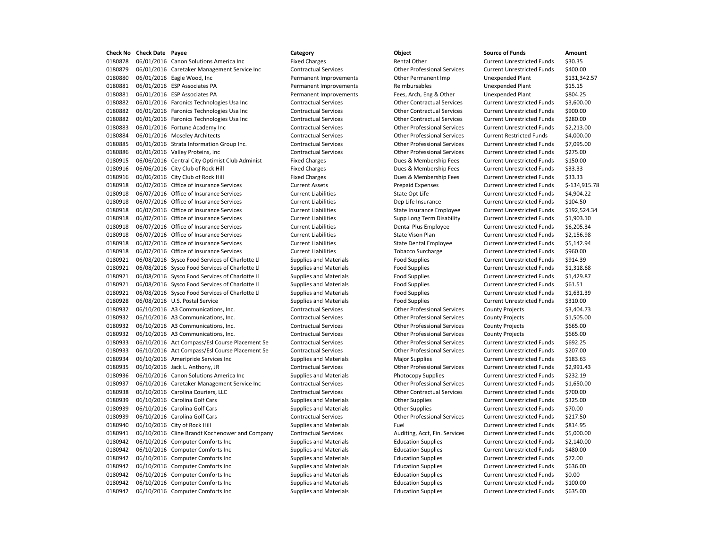0180878 06/01/2016 Canon Solutions America Inc Fixed Charges Fixed Charges Rental Other Current Unrestricted Funds \$30.35 0180879 06/01/2016 Caretaker Management Service Inc Contractual Services Other Professional Services Current Unrestricted Funds \$400.00 0180880 06/01/2016 Eagle Wood, Inc **Permanent Improvements** Other Permanent Imp Unexpended Plant \$131,342.57 0180881 06/01/2016 ESP Associates PA Permanent Improvements Reimbursables Unexpended Plant \$15.15 0180881 06/01/2016 ESP Associates PA Permanent Improvements Fees, Arch, Eng & Other Unexpended Plant \$804.25 0180882 06/01/2016 Faronics Technologies Usa Inc Contractual Services Other Contractual Services Current Unrestricted Funds \$3,600.00 0180882 06/01/2016 Faronics Technologies Usa Inc Contractual Services Other Contractual Services Current Unrestricted Funds \$900.00 0180882 06/01/2016 Faronics Technologies Usa Inc Contractual Services Other Contractual Services Current Unrestricted Funds \$280.00 0180883 06/01/2016 Fortune Academy Inc Contractual Services Other Professional Services Current Unrestricted Funds \$2,213.00 0180884 06/01/2016 Moseley Architects Contractual Services Other Professional Services Current Restricted Funds \$4,000.00 0180885 06/01/2016 Strata Information Group Inc. Contractual Services Other Professional Services Current Unrestricted Funds \$7,095.00 0180886 06/01/2016 Valley Proteins, Inc Contractual Services Other Professional Services Current Unrestricted Funds \$275.00 0180915 06/06/2016 Central City Optimist Club Administ Fixed Charges Dues & Membership Fees Current Unrestricted Funds \$150.00 0180916 06/06/2016 City Club of Rock Hill Fixed Charges Fixed Current Unrestricted Funds \$33.33 0180916 06/06/2016 City Club of Rock Hill Fixed Charges Fixed Charges Dues & Membership Fees Current Unrestricted Funds \$33.33 0180918 06/07/2016 Office of Insurance Services Current Assets Prepaid Expenses Current Unrestricted Funds \$-134,915.78 0180918 06/07/2016 Office of Insurance Services Current Liabilities Current Liabilities Current Unrestricted Funds \$4,904.22 0180918 06/07/2016 Office of Insurance Services Current Liabilities Dep Life Insurance Current Unrestricted Funds \$104.50 0180918 06/07/2016 Office of Insurance Services Current Liabilities State Insurance Employee Current Unrestricted Funds \$192,524.34 0180918 06/07/2016 Office of Insurance Services Current Liabilities Current Liabilities Current Disability Current Unrestricted Funds \$1,903.10 0180918 06/07/2016 Office of Insurance Services Current Liabilities Current Liabilities Dental Plus Employee Current Unrestricted Funds \$6,205.34 0180918 06/07/2016 Office of Insurance Services Current Liabilities Current State Vison Plan Current Unrestricted Funds \$2,156.98 0180918 06/07/2016 Office of Insurance Services Current Liabilities Current State Dental Employee Current Unrestricted Funds \$5,142.94 0180918 06/07/2016 Office of Insurance Services Current Liabilities Tobacco Surcharge Current Unrestricted Funds \$960.00 0180921 06/08/2016 Sysco Food Services of Charlotte Ll Supplies and Materials Food Supplies Current Unrestricted Funds \$914.39 0180921 06/08/2016 Sysco Food Services of Charlotte Ll Supplies and Materials Food Supplies Current Unrestricted Funds \$1,318.68 0180921 06/08/2016 Sysco Food Services of Charlotte Ll Supplies and Materials Food Supplies Current Unrestricted Funds \$1,429.87 0180921 06/08/2016 Sysco Food Services of Charlotte Ll Supplies and Materials Food Supplies Current Unrestricted Funds \$61.51 0180921 06/08/2016 Sysco Food Services of Charlotte Ll Supplies and Materials Food Supplies Current Unrestricted Funds \$1,631.39 0180928 06/08/2016 U.S. Postal Service Supplies and Materials Food Supplies Current Unrestricted Funds \$310.00 0180932 06/10/2016 A3 Communications, Inc. <br>
Contractual Services Other Professional Services County Projects \$3,404.73 0180932 06/10/2016 A3 Communications, Inc. Contractual Services Other Professional Services County Projects \$1,505.00 0180932 06/10/2016 A3 Communications, Inc. Contractual Services Other Professional Services County Projects \$665.00 0180932 06/10/2016 A3 Communications, Inc. Contractual Services Other Professional Services County Projects \$665.00 0180933 06/10/2016 Act Compass/Esl Course Placement Se Contractual Services Other Professional Services Current Unrestricted Funds \$692.25 0180933 06/10/2016 Act Compass/Esl Course Placement Se Contractual Services Other Professional Services Current Unrestricted Funds \$207.00 0180934 06/10/2016 Ameripride Services Inc Supplies and Materials Major Supplies Magnet Current Unrestricted Funds \$183.63 0180935 06/10/2016 Jack L. Anthony, JR Contractual Services Other Professional Services Current Unrestricted Funds \$2,991.43 0180936 06/10/2016 Canon Solutions America Inc Supplies and Materials Photocopy Supplies Current Unrestricted Funds \$232.19 0180937 06/10/2016 Caretaker Management Service Inc Contractual Services Other Professional Services Current Unrestricted Funds \$1,650.00 0180938 06/10/2016 Carolina Couriers, LLC Contractual Services Other Contractual Services Current Unrestricted Funds \$700.00 0180939 06/10/2016 Carolina Golf Cars Current Current Unrestricted Funds 5325.00 0180939 06/10/2016 Carolina Golf Cars Supplies and Materials Current Unrestricted Funds \$70.00 0180939 06/10/2016 Carolina Golf Cars Contractual Services Other Professional Services Current Unrestricted Funds \$217.50 0180940 06/10/2016 City of Rock Hill Supplies and Materials Fuel Fuel Current Unrestricted Funds \$814.95 0180941 06/10/2016 Cline Brandt Kochenower and Company Contractual Services Auditing, Acct, Fin. Services Current Unrestricted Funds \$5,000.00 0180942 06/10/2016 Computer Comforts Inc Supplies and Materials Education Supplies Current Unrestricted Funds \$2,140.00 0180942 06/10/2016 Computer Comforts Inc Supplies and Materials Education Supplies Current Unrestricted Funds \$480.00 0180942 06/10/2016 Computer Comforts Inc Supplies and Materials Education Supplies Current Unrestricted Funds \$72.00 0180942 06/10/2016 Computer Comforts Inc Supplies and Materials Education Supplies Current Unrestricted Funds \$636.00 0180942 06/10/2016 Computer Comforts Inc Supplies and Materials Education Supplies Current Unrestricted Funds \$0.00 0180942 06/10/2016 Computer Comforts Inc Supplies and Materials Education Supplies Current Unrestricted Funds \$100.00 0180942 06/10/2016 Computer Comforts Inc Supplies and Materials Education Supplies Current Unrestricted Funds \$635.00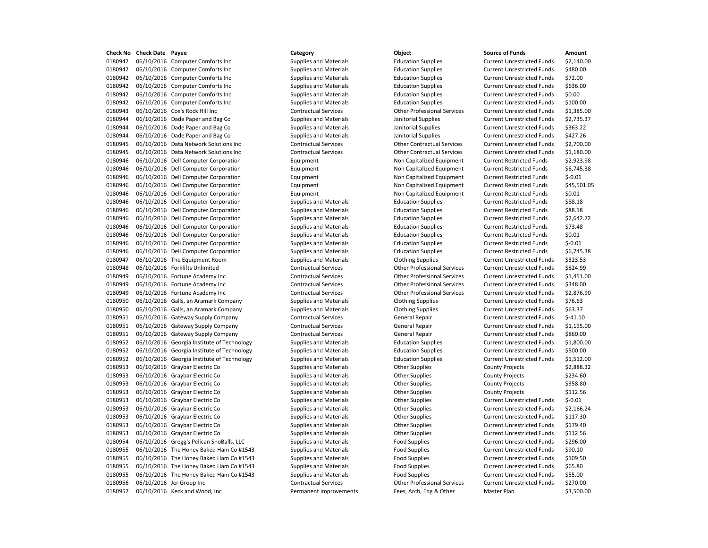0180942 06/10/2016 Computer Comforts Inc Supplies and Materials Education Supplies Current Unrestricted Funds \$2,140.00 06/10/2016 Computer Comforts Inc Supplies and Materials Education Supplies Current Unrestricted Funds \$480.00 06/10/2016 Computer Comforts Inc Supplies and Materials Education Supplies Current Unrestricted Funds \$72.00 06/10/2016 Computer Comforts Inc Supplies and Materials Education Supplies Current Unrestricted Funds \$636.00 06/10/2016 Computer Comforts Inc Supplies and Materials Education Supplies Current Unrestricted Funds \$0.00 06/10/2016 Computer Comforts Inc Supplies and Materials Education Supplies Current Unrestricted Funds \$100.00 06/10/2016 Cox's Rock Hill Inc Contractual Services Other Professional Services Current Unrestricted Funds \$1,385.00 06/10/2016 Dade Paper and Bag Co Supplies and Materials Janitorial Supplies Current Unrestricted Funds \$2,735.37 06/10/2016 Dade Paper and Bag Co Supplies and Materials Janitorial Supplies Current Unrestricted Funds \$363.22 06/10/2016 Dade Paper and Bag Co Supplies and Materials Janitorial Supplies Current Unrestricted Funds \$427.26 06/10/2016 Data Network Solutions Inc Contractual Services Other Contractual Services Current Unrestricted Funds \$2,700.00 06/10/2016 Data Network Solutions Inc Contractual Services Other Contractual Services Current Unrestricted Funds \$1,180.00 06/10/2016 Dell Computer Corporation Equipment Non Capitalized Equipment Current Restricted Funds \$2,923.98 0180946 06/10/2016 Dell Computer Corporation **Equipment** Equipment Non Capitalized Equipment Current Restricted Funds \$6,745.38 06/10/2016 Dell Computer Corporation Equipment Non Capitalized Equipment Current Restricted Funds \$-0.01 06/10/2016 Dell Computer Corporation Equipment Non Capitalized Equipment Current Restricted Funds \$45,501.05 06/10/2016 Dell Computer Corporation Equipment Non Capitalized Equipment Current Restricted Funds \$0.01 0180946 06/10/2016 Dell Computer Corporation Supplies and Materials Education Supplies Current Restricted Funds \$88.18 06/10/2016 Dell Computer Corporation Supplies and Materials Education Supplies Current Restricted Funds \$88.18 0180946 06/10/2016 Dell Computer Corporation Supplies and Materials Education Supplies Current Restricted Funds \$2,642.72 0180946 06/10/2016 Dell Computer Corporation Supplies and Materials Education Supplies Current Restricted Funds \$73.48 0180946 06/10/2016 Dell Computer Corporation Supplies and Materials Education Supplies Current Restricted Funds \$0.01 06/10/2016 Dell Computer Corporation Supplies and Materials Education Supplies Current Restricted Funds \$-0.01 06/10/2016 Dell Computer Corporation Supplies and Materials Education Supplies Current Restricted Funds \$6,745.38 06/10/2016 The Equipment Room Supplies and Materials Clothing Supplies Current Unrestricted Funds \$323.53 06/10/2016 Forklifts Unlimited Contractual Services Other Professional Services Current Unrestricted Funds \$824.99 06/10/2016 Fortune Academy Inc Contractual Services Other Professional Services Current Unrestricted Funds \$1,451.00 06/10/2016 Fortune Academy Inc Contractual Services Other Professional Services Current Unrestricted Funds \$348.00 06/10/2016 Fortune Academy Inc Contractual Services Other Professional Services Current Unrestricted Funds \$2,876.90 0180950 06/10/2016 Galls, an Aramark Company Supplies and Materials Clothing Supplies Current Unrestricted Funds \$76.63 0180950 06/10/2016 Galls, an Aramark Company Supplies and Materials Clothing Supplies Current Unrestricted Funds \$63.37 06/10/2016 Gateway Supply Company Contractual Services General Repair Current Unrestricted Funds \$-41.10 0180951 06/10/2016 Gateway Supply Company Contractual Services General Repair Current Unrestricted Funds \$1,195.00 06/10/2016 Gateway Supply Company Contractual Services General Repair Current Unrestricted Funds \$860.00 06/10/2016 Georgia Institute of Technology Supplies and Materials Education Supplies Current Unrestricted Funds \$1,800.00 06/10/2016 Georgia Institute of Technology Supplies and Materials Education Supplies Current Unrestricted Funds \$500.00 06/10/2016 Georgia Institute of Technology Supplies and Materials Education Supplies Current Unrestricted Funds \$1,512.00 0180953 06/10/2016 Graybar Electric Co Supplies and Materials County Projects County Projects \$2,888.32 0180953 06/10/2016 Graybar Electric Co Supplies and Materials County Projects County Projects \$234.60 0180953 06/10/2016 Graybar Electric Co Supplies and Materials County Projects County Projects \$358.80 0180953 06/10/2016 Graybar Electric Co Supplies and Materials Cother Supplies County Projects \$112.56 06/10/2016 Graybar Electric Co Supplies and Materials Other Supplies Current Unrestricted Funds \$-0.01 06/10/2016 Graybar Electric Co Supplies and Materials Other Supplies Current Unrestricted Funds \$2,166.24 06/10/2016 Graybar Electric Co Supplies and Materials Other Supplies Current Unrestricted Funds \$117.30 0180953 06/10/2016 Graybar Electric Co Supplies and Materials Curre Supplies Current Unrestricted Funds 5179.40 06/10/2016 Graybar Electric Co Supplies and Materials Other Supplies Current Unrestricted Funds \$112.56 06/10/2016 Gregg's Pelican SnoBalls, LLC Supplies and Materials Food Supplies Current Unrestricted Funds \$296.00 0180955 06/10/2016 The Honey Baked Ham Co #1543 Supplies and Materials Food Supplies Current Unrestricted Funds \$90.10 0180955 06/10/2016 The Honey Baked Ham Co #1543 Supplies and Materials Food Supplies Current Unrestricted Funds \$109.50 0180955 06/10/2016 The Honey Baked Ham Co #1543 Supplies and Materials Food Supplies Food Supplies Current Unrestricted Funds \$65.80 0180955 06/10/2016 The Honey Baked Ham Co #1543 Supplies and Materials Food Supplies Food Supplies Current Unrestricted Funds \$55.00 06/10/2016 Jer Group Inc Contractual Services Other Professional Services Current Unrestricted Funds \$270.00 06/10/2016 Keck and Wood, Inc Permanent Improvements Fees, Arch, Eng & Other Master Plan \$3,500.00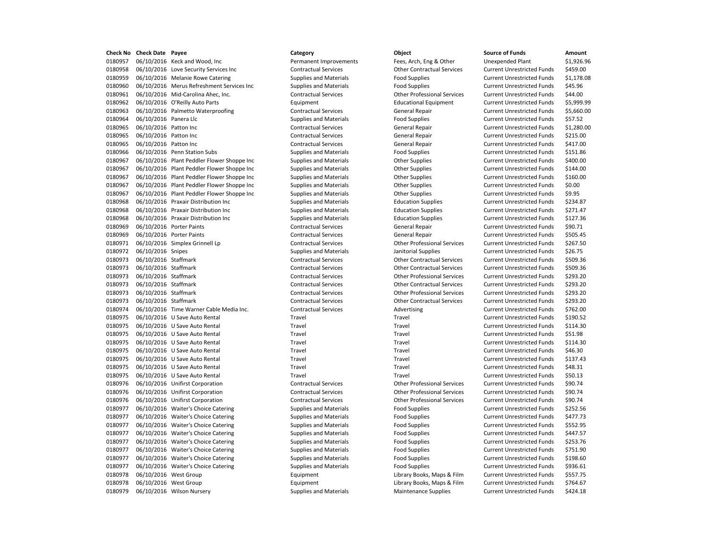| Check No | <b>Check Date Payee</b> |                                            | Category                      | Object                             | <b>Source of Funds</b>            | Amount    |
|----------|-------------------------|--------------------------------------------|-------------------------------|------------------------------------|-----------------------------------|-----------|
| 0180957  |                         | 06/10/2016 Keck and Wood, Inc              | Permanent Improvements        | Fees, Arch, Eng & Other            | <b>Unexpended Plant</b>           | \$1,926.9 |
| 0180958  |                         | 06/10/2016 Love Security Services Inc      | <b>Contractual Services</b>   | <b>Other Contractual Services</b>  | <b>Current Unrestricted Funds</b> | \$459.00  |
| 0180959  |                         | 06/10/2016 Melanie Rowe Catering           | <b>Supplies and Materials</b> | <b>Food Supplies</b>               | <b>Current Unrestricted Funds</b> | \$1,178.0 |
| 0180960  |                         | 06/10/2016 Merus Refreshment Services Inc  | <b>Supplies and Materials</b> | <b>Food Supplies</b>               | <b>Current Unrestricted Funds</b> | \$45.96   |
| 0180961  |                         | 06/10/2016 Mid-Carolina Ahec, Inc.         | <b>Contractual Services</b>   | <b>Other Professional Services</b> | <b>Current Unrestricted Funds</b> | \$44.00   |
| 0180962  |                         | 06/10/2016 O'Reilly Auto Parts             | Equipment                     | <b>Educational Equipment</b>       | <b>Current Unrestricted Funds</b> | \$5,999.9 |
| 0180963  |                         | 06/10/2016 Palmetto Waterproofing          | <b>Contractual Services</b>   | General Repair                     | <b>Current Unrestricted Funds</b> | \$5,660.0 |
| 0180964  | 06/10/2016 Panera Llc   |                                            | <b>Supplies and Materials</b> | <b>Food Supplies</b>               | <b>Current Unrestricted Funds</b> | \$57.52   |
| 0180965  | 06/10/2016 Patton Inc   |                                            | <b>Contractual Services</b>   | General Repair                     | <b>Current Unrestricted Funds</b> | \$1,280.0 |
| 0180965  | 06/10/2016 Patton Inc   |                                            | <b>Contractual Services</b>   | <b>General Repair</b>              | <b>Current Unrestricted Funds</b> | \$215.00  |
| 0180965  | 06/10/2016 Patton Inc   |                                            | <b>Contractual Services</b>   | <b>General Repair</b>              | <b>Current Unrestricted Funds</b> | \$417.00  |
| 0180966  |                         | 06/10/2016 Penn Station Subs               | <b>Supplies and Materials</b> | <b>Food Supplies</b>               | <b>Current Unrestricted Funds</b> | \$151.86  |
| 0180967  |                         | 06/10/2016 Plant Peddler Flower Shoppe Inc | <b>Supplies and Materials</b> | <b>Other Supplies</b>              | <b>Current Unrestricted Funds</b> | \$400.00  |
| 0180967  |                         | 06/10/2016 Plant Peddler Flower Shoppe Inc | <b>Supplies and Materials</b> | <b>Other Supplies</b>              | <b>Current Unrestricted Funds</b> | \$144.00  |
| 0180967  |                         | 06/10/2016 Plant Peddler Flower Shoppe Inc | <b>Supplies and Materials</b> | <b>Other Supplies</b>              | <b>Current Unrestricted Funds</b> | \$160.00  |
| 0180967  |                         | 06/10/2016 Plant Peddler Flower Shoppe Inc | <b>Supplies and Materials</b> | <b>Other Supplies</b>              | <b>Current Unrestricted Funds</b> | \$0.00    |
| 0180967  |                         | 06/10/2016 Plant Peddler Flower Shoppe Inc | <b>Supplies and Materials</b> | <b>Other Supplies</b>              | <b>Current Unrestricted Funds</b> | \$9.95    |
| 0180968  |                         | 06/10/2016 Praxair Distribution Inc        | <b>Supplies and Materials</b> | <b>Education Supplies</b>          | <b>Current Unrestricted Funds</b> | \$234.87  |
| 0180968  |                         | 06/10/2016 Praxair Distribution Inc        | <b>Supplies and Materials</b> | <b>Education Supplies</b>          | <b>Current Unrestricted Funds</b> | \$271.47  |
| 0180968  |                         | 06/10/2016 Praxair Distribution Inc        | <b>Supplies and Materials</b> | <b>Education Supplies</b>          | <b>Current Unrestricted Funds</b> | \$127.36  |
| 0180969  |                         | 06/10/2016 Porter Paints                   | <b>Contractual Services</b>   | General Repair                     | <b>Current Unrestricted Funds</b> | \$90.71   |
| 0180969  |                         | 06/10/2016 Porter Paints                   | <b>Contractual Services</b>   | General Repair                     | <b>Current Unrestricted Funds</b> | \$505.45  |
| 0180971  |                         | 06/10/2016 Simplex Grinnell Lp             | <b>Contractual Services</b>   | <b>Other Professional Services</b> | <b>Current Unrestricted Funds</b> | \$267.50  |
| 0180972  | 06/10/2016 Snipes       |                                            | <b>Supplies and Materials</b> | Janitorial Supplies                | <b>Current Unrestricted Funds</b> | \$26.75   |
| 0180973  | 06/10/2016 Staffmark    |                                            | <b>Contractual Services</b>   | <b>Other Contractual Services</b>  | <b>Current Unrestricted Funds</b> | \$509.36  |
| 0180973  | 06/10/2016 Staffmark    |                                            | <b>Contractual Services</b>   | <b>Other Contractual Services</b>  | <b>Current Unrestricted Funds</b> | \$509.36  |
| 0180973  | 06/10/2016 Staffmark    |                                            | <b>Contractual Services</b>   | <b>Other Professional Services</b> | <b>Current Unrestricted Funds</b> | \$293.20  |
| 0180973  | 06/10/2016 Staffmark    |                                            | <b>Contractual Services</b>   | <b>Other Contractual Services</b>  | <b>Current Unrestricted Funds</b> | \$293.20  |
| 0180973  | 06/10/2016 Staffmark    |                                            | <b>Contractual Services</b>   | <b>Other Professional Services</b> | <b>Current Unrestricted Funds</b> | \$293.20  |
| 0180973  | 06/10/2016 Staffmark    |                                            | <b>Contractual Services</b>   | <b>Other Contractual Services</b>  | <b>Current Unrestricted Funds</b> | \$293.20  |
| 0180974  |                         | 06/10/2016 Time Warner Cable Media Inc.    | <b>Contractual Services</b>   | Advertising                        | <b>Current Unrestricted Funds</b> | \$762.00  |
| 0180975  |                         | 06/10/2016 U Save Auto Rental              | Travel                        | Travel                             | <b>Current Unrestricted Funds</b> | \$190.52  |
| 0180975  |                         | 06/10/2016 U Save Auto Rental              | Travel                        | Travel                             | <b>Current Unrestricted Funds</b> | \$114.30  |
| 0180975  |                         | 06/10/2016 U Save Auto Rental              | Travel                        | Travel                             | <b>Current Unrestricted Funds</b> | \$51.98   |
| 0180975  |                         | 06/10/2016 U Save Auto Rental              | Travel                        | Travel                             | <b>Current Unrestricted Funds</b> | \$114.30  |
| 0180975  |                         | 06/10/2016 U Save Auto Rental              | Travel                        | Travel                             | <b>Current Unrestricted Funds</b> | \$46.30   |
| 0180975  |                         | 06/10/2016 U Save Auto Rental              | Travel                        | Travel                             | <b>Current Unrestricted Funds</b> | \$137.43  |
| 0180975  |                         | 06/10/2016 U Save Auto Rental              | Travel                        | Travel                             | <b>Current Unrestricted Funds</b> | \$48.31   |
| 0180975  |                         | 06/10/2016 U Save Auto Rental              | Travel                        | Travel                             | <b>Current Unrestricted Funds</b> | \$50.13   |
| 0180976  |                         | 06/10/2016 Unifirst Corporation            | <b>Contractual Services</b>   | <b>Other Professional Services</b> | <b>Current Unrestricted Funds</b> | \$90.74   |
| 0180976  |                         | 06/10/2016 Unifirst Corporation            | <b>Contractual Services</b>   | <b>Other Professional Services</b> | <b>Current Unrestricted Funds</b> | \$90.74   |
| 0180976  |                         | 06/10/2016 Unifirst Corporation            | <b>Contractual Services</b>   | <b>Other Professional Services</b> | <b>Current Unrestricted Funds</b> | \$90.74   |
| 0180977  |                         | 06/10/2016 Waiter's Choice Catering        | <b>Supplies and Materials</b> | <b>Food Supplies</b>               | <b>Current Unrestricted Funds</b> | \$252.56  |
| 0180977  |                         | 06/10/2016 Waiter's Choice Catering        | <b>Supplies and Materials</b> | <b>Food Supplies</b>               | <b>Current Unrestricted Funds</b> | \$477.73  |
| 0180977  |                         | 06/10/2016 Waiter's Choice Catering        | <b>Supplies and Materials</b> | <b>Food Supplies</b>               | <b>Current Unrestricted Funds</b> | \$552.95  |
| 0180977  |                         | 06/10/2016 Waiter's Choice Catering        | <b>Supplies and Materials</b> | <b>Food Supplies</b>               | <b>Current Unrestricted Funds</b> | \$447.57  |
| 0180977  |                         | 06/10/2016 Waiter's Choice Catering        | <b>Supplies and Materials</b> | <b>Food Supplies</b>               | <b>Current Unrestricted Funds</b> | \$253.76  |
| 0180977  |                         | 06/10/2016 Waiter's Choice Catering        | <b>Supplies and Materials</b> | <b>Food Supplies</b>               | <b>Current Unrestricted Funds</b> | \$751.90  |
| 0180977  |                         | 06/10/2016 Waiter's Choice Catering        | <b>Supplies and Materials</b> | <b>Food Supplies</b>               | <b>Current Unrestricted Funds</b> | \$198.60  |
| 0180977  |                         | 06/10/2016 Waiter's Choice Catering        | <b>Supplies and Materials</b> | <b>Food Supplies</b>               | <b>Current Unrestricted Funds</b> | \$936.61  |
| 0180978  | 06/10/2016 West Group   |                                            | Equipment                     | Library Books, Maps & Film         | <b>Current Unrestricted Funds</b> | \$557.75  |
| 0180978  | 06/10/2016 West Group   |                                            | Equipment                     | Library Books, Maps & Film         | <b>Current Unrestricted Funds</b> | \$764.67  |
| 0180979  |                         | 06/10/2016 Wilson Nursery                  | <b>Supplies and Materials</b> | <b>Maintenance Supplies</b>        | <b>Current Unrestricted Funds</b> | \$424.18  |
|          |                         |                                            |                               |                                    |                                   |           |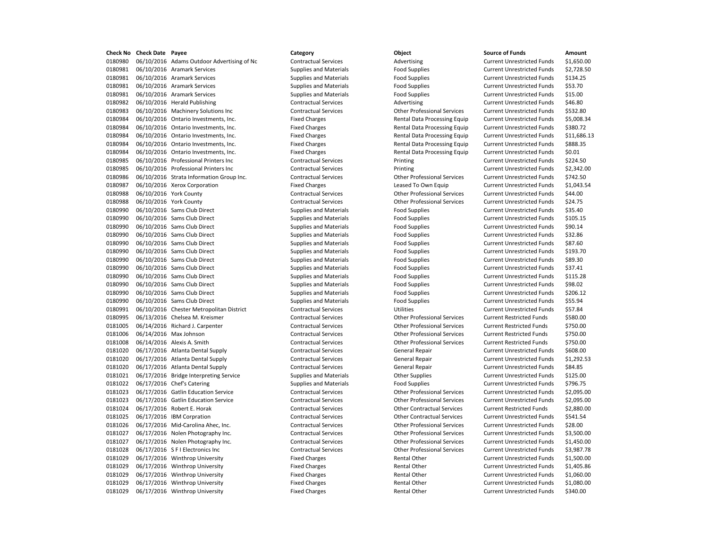0180980 06/10/2016 Adams Outdoor Advertising of Nc Contractual Services Advertising Advertising Current Unrestricted Funds \$1,650.00 0180981 06/10/2016 Aramark Services Supplies and Materials Food Supplies Food Supplies Current Unrestricted Funds \$2,728.50 0180981 06/10/2016 Aramark Services Supplies and Materials Food Supplies Current Unrestricted Funds \$134.25 0180981 06/10/2016 Aramark Services Supplies and Materials Food Supplies Food Supplies Current Unrestricted Funds \$53.70 0180981 06/10/2016 Aramark Services exception Supplies and Materials Food Supplies Food Supplies Current Unrestricted Funds \$15.00 0180982 06/10/2016 Herald Publishing Contractual Services Advertising Current Unrestricted Funds \$46.80 0180983 06/10/2016 Machinery Solutions Inc Contractual Services Other Professional Services Current Unrestricted Funds \$532.80 0180984 06/10/2016 Ontario Investments, Inc. Fixed Charges Rental Data Processing Equip Current Unrestricted Funds \$5,008.34 0180984 06/10/2016 Ontario Investments, Inc. Fixed Charges Rental Data Processing Equip Current Unrestricted Funds \$380.72 0180984 06/10/2016 Ontario Investments, Inc. Fixed Charges Rental Data Processing Equip Current Unrestricted Funds \$11,686.13 0180984 06/10/2016 Ontario Investments, Inc. Fixed Charges Rental Data Processing Equip Current Unrestricted Funds \$888.35 0180984 06/10/2016 Ontario Investments, Inc. Fixed Charges Rental Data Processing Equip Current Unrestricted Funds \$0.01 0180985 06/10/2016 Professional Printers Inc Contractual Services Printing Current Unrestricted Funds \$224.50 0180985 06/10/2016 Professional Printers Inc Contractual Services Printing Current Unrestricted Funds \$2,342.00 0180986 06/10/2016 Strata Information Group Inc. Contractual Services Other Professional Services Current Unrestricted Funds \$742.50 0180987 06/10/2016 Xerox Corporation **Fixed Charges** Fixed Charges Leased To Own Equip Current Unrestricted Funds \$1,043.54 0180988 06/10/2016 York County Contractual Services Other Professional Services Current Unrestricted Funds \$44.00 0180988 06/10/2016 York County Contractual Services Other Professional Services Current Unrestricted Funds \$24.75 0180990 06/10/2016 Sams Club Direct Supplies and Materials Food Supplies Food Supplies Current Unrestricted Funds \$35.40 0180990 06/10/2016 Sams Club Direct Supplies and Materials Food Supplies Food Supplies Current Unrestricted Funds \$105.15 0180990 06/10/2016 Sams Club Direct Supplies and Materials Food Supplies Food Supplies Current Unrestricted Funds \$90.14 0180990 06/10/2016 Sams Club Direct Supplies and Materials Food Supplies Food Supplies Current Unrestricted Funds \$32.86 0180990 06/10/2016 Sams Club Direct Supplies and Materials Food Supplies Food Supplies Current Unrestricted Funds \$87.60 0180990 06/10/2016 Sams Club Direct Supplies and Materials Food Supplies Current Unrestricted Funds \$193.70 0180990 06/10/2016 Sams Club Direct Supplies and Materials Food Supplies Food Supplies Current Unrestricted Funds \$89.30 0180990 06/10/2016 Sams Club Direct Supplies and Materials Food Supplies Food Supplies Current Unrestricted Funds \$37.41 0180990 06/10/2016 Sams Club Direct Supplies and Materials Food Supplies Food Supplies Current Unrestricted Funds \$115.28 0180990 06/10/2016 Sams Club Direct Supplies and Materials Food Supplies Current Unrestricted Funds \$98.02 0180990 06/10/2016 Sams Club Direct Supplies and Materials Food Supplies Food Supplies Current Unrestricted Funds \$206.12 0180990 06/10/2016 Sams Club Direct Supplies and Materials Food Supplies Food Supplies Current Unrestricted Funds \$55.94 0180991 06/10/2016 Chester Metropolitan District Contractual Services Utilities Utilities Current Unrestricted Funds \$57.84 0180995 06/13/2016 Chelsea M. Kreismer Contractual Services Other Professional Services Current Restricted Funds \$580.00 0181005 06/14/2016 Richard J. Carpenter Contractual Services Other Professional Services Current Restricted Funds \$750.00 0181006 06/14/2016 Max Johnson Contractual Services Other Professional Services Current Restricted Funds \$750.00 0181008 06/14/2016 Alexis A. Smith Contractual Services Other Professional Services Current Restricted Funds \$750.00 0181020 06/17/2016 Atlanta Dental Supply Contractual Services General Repair Current Unrestricted Funds \$608.00 0181020 06/17/2016 Atlanta Dental Supply Contractual Services General Repair Current Unrestricted Funds \$1,292.53 0181020 06/17/2016 Atlanta Dental Supply Contractual Services General Repair Current Unrestricted Funds \$84.85 0181021 06/17/2016 Bridge Interpreting Service Supplies and Materials Other Supplies Current Unrestricted Funds \$125.00 0181022 06/17/2016 Chef's Catering Supplies and Materials Food Supplies Food Supplies Current Unrestricted Funds 5796.75 0181023 06/17/2016 Gatlin Education Service Contractual Services Other Professional Services Current Unrestricted Funds \$2,095.00 0181023 06/17/2016 Gatlin Education Service Contractual Services Other Professional Services Current Unrestricted Funds \$2,095.00 0181024 06/17/2016 Robert E. Horak Contractual Services Current Restricted Funds \$2,880.00 0181025 06/17/2016 IBM Corpration Contractual Services Other Contractual Services Current Unrestricted Funds \$541.54 0181026 06/17/2016 Mid-Carolina Ahec, Inc. Contractual Services Other Professional Services Current Unrestricted Funds \$28.00 0181027 06/17/2016 Nolen Photography Inc. Contractual Services Other Professional Services Current Unrestricted Funds \$3,500.00 0181027 06/17/2016 Nolen Photography Inc. Contractual Services Other Professional Services Current Unrestricted Funds \$1,450.00 0181028 06/17/2016 S F I Electronics Inc Contractual Services Other Professional Services Current Unrestricted Funds \$3,987.78 0181029 06/17/2016 Winthrop University **Fixed Charges** Fixed Charges Rental Other Current Unrestricted Funds \$1,500.00 0181029 06/17/2016 Winthrop University Fixed Charges Fixed Charges Rental Other Current Unrestricted Funds \$1,405.86 0181029 06/17/2016 Winthrop University **Fixed Charges** Fixed Charges Rental Other Current Unrestricted Funds \$1,060.00 0181029 06/17/2016 Winthrop University Fixed Charges Fixed Charges Rental Other Current Unrestricted Funds \$1,080.00 0181029 06/17/2016 Winthrop University Fixed Charges Fixed Charges Rental Other Current Unrestricted Funds \$340.00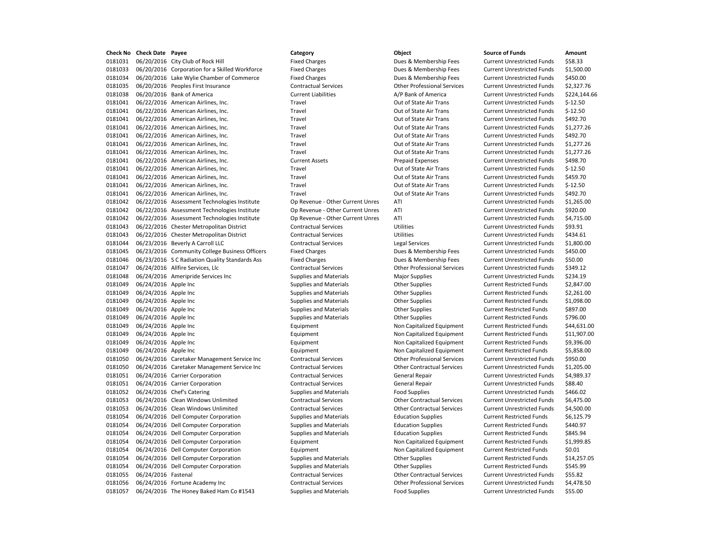0181031 06/20/2016 City Club of Rock Hill Fixed Charges Fixed Charges Dues & Membership Fees Current Unrestricted Funds \$58.33 0181033 06/20/2016 Corporation for a Skilled Workforce Fixed Charges Dues & Membership Fees Current Unrestricted Funds \$1,500.00 0181034 06/20/2016 Lake Wylie Chamber of Commerce Fixed Charges Dues & Membership Fees Current Unrestricted Funds \$450.00 0181035 06/20/2016 Peoples First Insurance Contractual Services Other Professional Services Current Unrestricted Funds \$2,327.76 0181038 06/20/2016 Bank of America Current Liabilities Current Liabilities A/P Bank of America Current Unrestricted Funds \$224,144.66 0181041 06/22/2016 American Airlines, Inc. Travel Travel Current Current Unrestricted Funds \$-12.50 0181041 06/22/2016 American Airlines, Inc. Travel Travel Current Current Unrestricted Funds 5-12.50 0181041 06/22/2016 American Airlines, Inc. Travel Travel Current Unrestricted Funds \$492.70 0181041 06/22/2016 American Airlines, Inc. Travel Out of State Air Trans Current Unrestricted Funds \$1,277.26 0181041 06/22/2016 American Airlines, Inc. Travel Travel Current Unrestricted Funds \$492.70 0181041 06/22/2016 American Airlines, Inc. Travel Travel Current Unrestricted Funds \$1,277.26 0181041 06/22/2016 American Airlines, Inc. Travel Out of State Air Trans Current Unrestricted Funds \$1,277.26 0181041 06/22/2016 American Airlines, Inc. Current Assets Prepaid Expenses Current Unrestricted Funds \$498.70 0181041 06/22/2016 American Airlines, Inc. Travel Travel Current Unrestricted Funds \$-12.50 0181041 06/22/2016 American Airlines. Inc. Travel Travel Current Dubberry Current Unrestricted Funds \$459.70 0181041 06/22/2016 American Airlines, Inc. Travel Travel Current Unrestricted Funds \$-12.50 0181041 06/22/2016 American Airlines, Inc. Travel Travel Current Dut of State Air Trans Current Unrestricted Funds \$492.70 0181042 06/22/2016 Assessment Technologies Institute Op Revenue - Other Current Unres ATI Current Unrestricted Funds \$1,265.00 0181042 06/22/2016 Assessment Technologies Institute Op Revenue - Other Current Unres ATI Current Unrestricted Funds \$920.00 0181042 06/22/2016 Assessment Technologies Institute Op Revenue - Other Current Unres ATI Current Unrestricted Funds \$4,715.00 0181043 06/22/2016 Chester Metropolitan District Contractual Services Utilities Utilities Current Unrestricted Funds \$93.91 0181043 06/22/2016 Chester Metropolitan District Contractual Services Utilities Current Unrestricted Funds \$434.61 0181044 06/23/2016 Beverly A Carroll LLC Contractual Services Legal Services Current Unrestricted Funds \$1,800.00 0181045 06/23/2016 Community College Business Officers Fixed Charges Dues & Membership Fees Current Unrestricted Funds \$450.00 0181046 06/23/2016 SC Radiation Quality Standards Ass Fixed Charges Dues & Membership Fees Current Unrestricted Funds \$50.00 0181047 06/24/2016 Allfire Services, Llc Contractual Services Other Professional Services Current Unrestricted Funds \$349.12 0181048 06/24/2016 Ameripride Services Inc Supplies and Materials Major Supplies Magior Supplies Current Unrestricted Funds \$234.19 0181049 06/24/2016 Apple Inc Current Restricted Funds Supplies and Materials Other Supplies Current Restricted Funds \$2,847.00 0181049 06/24/2016 Apple Inc example Supplies and Materials other Supplies Current Restricted Funds \$2,261.00 0181049 06/24/2016 Apple Inc Current Restricted Funds S1,098.00 0181049 06/24/2016 Apple Inc example inc Supplies and Materials Current Restricted Funds \$897.00 0181049 06/24/2016 Apple Inc Current Restricted Funds Street Restricted Funds Street Restricted Funds \$796.00 0181049 06/24/2016 Apple Inc Equipment Non Capitalized Equipment Current Restricted Funds \$44,631.00 0181049 06/24/2016 Apple Inc Equipment Non Capitalized Equipment Current Restricted Funds \$11,907.00 0181049 06/24/2016 Apple Inc example and Equipment Equipment Non Capitalized Equipment Current Restricted Funds \$9,396.00 0181049 06/24/2016 Apple Inc example 10 Capitalized Equipment Non Capitalized Equipment Current Restricted Funds \$5,858.00 0181050 06/24/2016 Caretaker Management Service Inc Contractual Services Other Professional Services Current Unrestricted Funds \$950.00 0181050 06/24/2016 Caretaker Management Service Inc Contractual Services Other Contractual Services Current Unrestricted Funds \$1,205.00 0181051 06/24/2016 Carrier Corporation Contractual Services General Repair Current Unrestricted Funds \$4,989.37 0181051 06/24/2016 Carrier Corporation Contractual Services General Repair Current Unrestricted Funds \$88.40 0181052 06/24/2016 Chef's Catering external Supplies and Materials Food Supplies Food Supplies Current Unrestricted Funds \$466.02 0181053 06/24/2016 Clean Windows Unlimited Contractual Services Other Contractual Services Current Unrestricted Funds \$6,475.00 0181053 06/24/2016 Clean Windows Unlimited Contractual Services Other Contractual Services Current Unrestricted Funds \$4,500.00 0181054 06/24/2016 Dell Computer Corporation Supplies and Materials Education Supplies Current Restricted Funds \$6,125.79 0181054 06/24/2016 Dell Computer Corporation Supplies and Materials Education Supplies Current Restricted Funds \$440.97 0181054 06/24/2016 Dell Computer Corporation Supplies and Materials Education Supplies Current Restricted Funds \$845.94 0181054 06/24/2016 Dell Computer Corporation Equipment Non Capitalized Equipment Current Restricted Funds \$1,999.85 0181054 06/24/2016 Dell Computer Corporation **Equipment** Equipment Non Capitalized Equipment Current Restricted Funds \$0.01 0181054 06/24/2016 Dell Computer Corporation Supplies and Materials Other Supplies Current Restricted Funds \$14,257.05 0181054 06/24/2016 Dell Computer Corporation Supplies and Materials Corner Supplies Current Restricted Funds \$545.99 0181055 06/24/2016 Fastenal Contractual Services Other Contractual Services Current Unrestricted Funds \$55.82 0181056 06/24/2016 Fortune Academy Inc Contractual Services Other Professional Services Current Unrestricted Funds \$4,478.50 0181057 06/24/2016 The Honey Baked Ham Co #1543 Supplies and Materials Food Supplies Current Unrestricted Funds \$55.00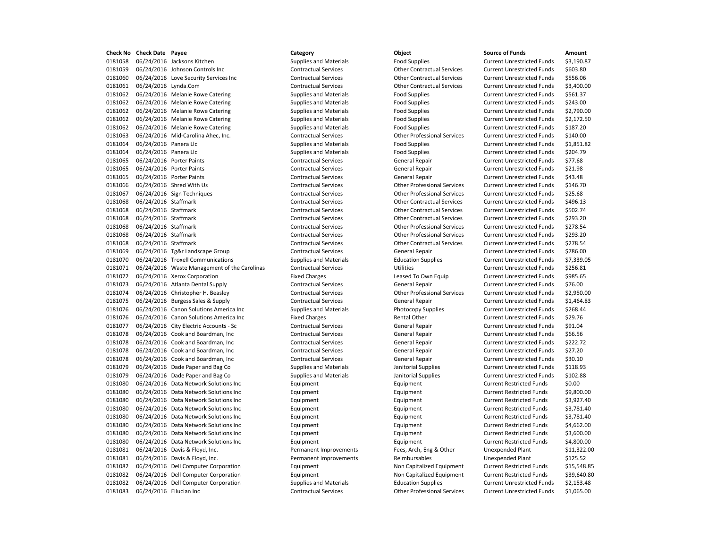0181058 06/24/2016 Jacksons Kitchen Supplies and Materials Food Supplies Current Unrestricted Funds \$3,190.87 06/24/2016 Johnson Controls Inc Contractual Services Other Contractual Services Current Unrestricted Funds \$603.80 06/24/2016 Love Security Services Inc Contractual Services Other Contractual Services Current Unrestricted Funds \$556.06 06/24/2016 Lynda.Com Contractual Services Other Contractual Services Current Unrestricted Funds \$3,400.00 0181062 06/24/2016 Melanie Rowe Catering Supplies and Materials Food Supplies Current Unrestricted Funds \$561.37 0181062 06/24/2016 Melanie Rowe Catering Supplies and Materials Food Supplies Current Unrestricted Funds \$243.00 0181062 06/24/2016 Melanie Rowe Catering Supplies and Materials Food Supplies Current Unrestricted Funds \$2,790.00 0181062 06/24/2016 Melanie Rowe Catering Supplies and Materials Food Supplies Current Unrestricted Funds \$2,172.50 0181062 06/24/2016 Melanie Rowe Catering Supplies and Materials Food Supplies Food Supplies Current Unrestricted Funds \$187.20 06/24/2016 Mid-Carolina Ahec, Inc. Contractual Services Other Professional Services Current Unrestricted Funds \$140.00 0181064 06/24/2016 Panera Llc **Supplies and Materials** Food Supplies **Food Supplies** Current Unrestricted Funds \$1,851.82 0181064 06/24/2016 Panera Llc **Supplies and Materials** Food Supplies **Food Supplies Current Unrestricted Funds** \$204.79 06/24/2016 Porter Paints Contractual Services General Repair Current Unrestricted Funds \$77.68 0181065 06/24/2016 Porter Paints **Cancel Accord Contractual Services** General Repair Current Unrestricted Funds \$21.98 06/24/2016 Porter Paints Contractual Services General Repair Current Unrestricted Funds \$43.48 06/24/2016 Shred With Us Contractual Services Other Professional Services Current Unrestricted Funds \$146.70 06/24/2016 Sign Techniques Contractual Services Other Professional Services Current Unrestricted Funds \$25.68 06/24/2016 Staffmark Contractual Services Other Contractual Services Current Unrestricted Funds \$496.13 06/24/2016 Staffmark Contractual Services Other Contractual Services Current Unrestricted Funds \$502.74 06/24/2016 Staffmark Contractual Services Other Contractual Services Current Unrestricted Funds \$293.20 06/24/2016 Staffmark Contractual Services Other Professional Services Current Unrestricted Funds \$278.54 06/24/2016 Staffmark Contractual Services Other Professional Services Current Unrestricted Funds \$293.20 06/24/2016 Staffmark Contractual Services Other Contractual Services Current Unrestricted Funds \$278.54 06/24/2016 Tg&r Landscape Group Contractual Services General Repair Current Unrestricted Funds \$786.00 06/24/2016 Troxell Communications Supplies and Materials Education Supplies Current Unrestricted Funds \$7,339.05 0181071 06/24/2016 Waste Management of the Carolinas Contractual Services Utilities Utilities Current Unrestricted Funds \$256.81 0181072 06/24/2016 Xerox Corporation **Fixed Charges** Fixed Charges Leased To Own Equip Current Unrestricted Funds \$985.65 06/24/2016 Atlanta Dental Supply Contractual Services General Repair Current Unrestricted Funds \$76.00 06/24/2016 Christopher H. Beasley Contractual Services Other Professional Services Current Unrestricted Funds \$2,950.00 0181075 06/24/2016 Burgess Sales & Supply Contractual Services General Repair Current Unrestricted Funds \$1,464.83 06/24/2016 Canon Solutions America Inc Supplies and Materials Photocopy Supplies Current Unrestricted Funds \$268.44 0181076 06/24/2016 Canon Solutions America Inc Fixed Charges Fixed Charges Rental Other Current Unrestricted Funds \$29.76 0181077 06/24/2016 City Electric Accounts - Sc Contractual Services General Repair Current Unrestricted Funds \$91.04 06/24/2016 Cook and Boardman, Inc Contractual Services General Repair Current Unrestricted Funds \$66.56 06/24/2016 Cook and Boardman, Inc Contractual Services General Repair Current Unrestricted Funds \$222.72 0181078 06/24/2016 Cook and Boardman, Inc Contractual Services General Repair General Repair Current Unrestricted Funds \$27.20 06/24/2016 Cook and Boardman, Inc Contractual Services General Repair Current Unrestricted Funds \$30.10 06/24/2016 Dade Paper and Bag Co Supplies and Materials Janitorial Supplies Current Unrestricted Funds \$118.93 06/24/2016 Dade Paper and Bag Co Supplies and Materials Janitorial Supplies Current Unrestricted Funds \$102.88 06/24/2016 Data Network Solutions Inc Equipment Equipment Current Restricted Funds \$0.00 0181080 06/24/2016 Data Network Solutions Inc **Equipment** Equipment Equipment Current Restricted Funds \$9,800.00 0181080 06/24/2016 Data Network Solutions Inc **Equipment** Equipment Equipment Equipment Current Restricted Funds \$3,927.40 0181080 06/24/2016 Data Network Solutions Inc **Equipment** Equipment Equipment Current Restricted Funds \$3,781.40 0181080 06/24/2016 Data Network Solutions Inc **Equipment** Equipment Equipment Equipment Current Restricted Funds \$3,781.40 06/24/2016 Data Network Solutions Inc Equipment Equipment Current Restricted Funds \$4,662.00 0181080 06/24/2016 Data Network Solutions Inc **Equipment** Equipment Equipment Equipment Current Restricted Funds \$3,600.00 06/24/2016 Data Network Solutions Inc Equipment Equipment Current Restricted Funds \$4,800.00 06/24/2016 Davis & Floyd, Inc. Permanent Improvements Fees, Arch, Eng & Other Unexpended Plant \$11,322.00 0181081 06/24/2016 Davis & Floyd, Inc. The Permanent Improvements Reimbursables Unexpended Plant \$125.52 06/24/2016 Dell Computer Corporation Equipment Non Capitalized Equipment Current Restricted Funds \$15,548.85 06/24/2016 Dell Computer Corporation Equipment Non Capitalized Equipment Current Restricted Funds \$39,640.80 06/24/2016 Dell Computer Corporation Supplies and Materials Education Supplies Current Unrestricted Funds \$2,153.48 06/24/2016 Ellucian Inc Contractual Services Other Professional Services Current Unrestricted Funds \$1,065.00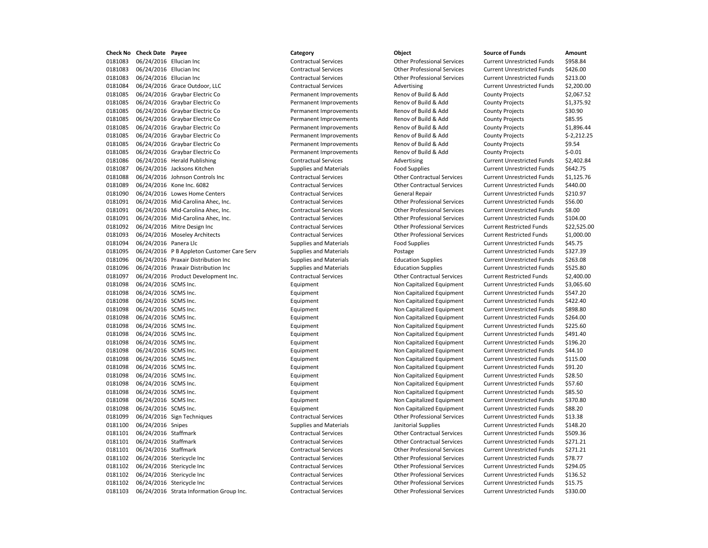0181083 06/24/2016 Ellucian Inc Contractual Services Other Professional Services Current Unrestricted Funds \$958.84 0181083 06/24/2016 Ellucian Inc Contractual Services Other Professional Services Current Unrestricted Funds \$426.00 0181083 06/24/2016 Ellucian Inc Contractual Services Other Professional Services Current Unrestricted Funds \$213.00 0181084 06/24/2016 Grace Outdoor, LLC Contractual Services Advertising Current Unrestricted Funds \$2,200.00 0181085 06/24/2016 Graybar Electric Co Permanent Improvements Renov of Build & Add County Projects \$2,067.52 0181085 06/24/2016 Graybar Electric Co **Permanent Improvements** Renov of Build & Add County Projects \$1,375.92 0181085 06/24/2016 Graybar Electric Co **Permanent Improvements** Renov of Build & Add County Projects \$30.90 0181085 06/24/2016 Graybar Electric Co **Permanent Improvements** Renov of Build & Add County Projects \$85.95 0181085 06/24/2016 Graybar Electric Co **Permanent Improvements** Renov of Build & Add County Projects \$1,896.44 0181085 06/24/2016 Graybar Electric Co Permanent Improvements Renov of Build & Add County Projects \$-2,212.25 0181085 06/24/2016 Graybar Electric Co **Permanent Improvements** Renov of Build & Add County Projects \$9.54 0181085 06/24/2016 Graybar Electric Co **Permanent Improvements** Renov of Build & Add County Projects \$-0.01 0181086 06/24/2016 Herald Publishing Contractual Services Advertising Current Unrestricted Funds \$2,402.84 0181087 06/24/2016 Jacksons Kitchen Supplies and Materials Food Supplies Current Unrestricted Funds \$642.75 0181088 06/24/2016 Johnson Controls Inc Contractual Services Other Contractual Services Current Unrestricted Funds \$1,125.76 0181089 06/24/2016 Kone Inc. 6082 Contractual Services Other Contractual Services Current Unrestricted Funds \$440.00 0181090 06/24/2016 Lowes Home Centers Contractual Services General Repair Current Unrestricted Funds \$210.97 0181091 06/24/2016 Mid-Carolina Ahec, Inc. Contractual Services Other Professional Services Current Unrestricted Funds \$56.00 0181091 06/24/2016 Mid-Carolina Ahec, Inc. Contractual Services Other Professional Services Current Unrestricted Funds \$8.00 0181091 06/24/2016 Mid-Carolina Ahec, Inc. Contractual Services Other Professional Services Current Unrestricted Funds \$104.00 0181092 06/24/2016 Mitre Design Inc Contractual Services Other Professional Services Current Restricted Funds \$22,525.00 0181093 06/24/2016 Moseley Architects Contractual Services Other Professional Services Current Restricted Funds \$1,000.00 0181094 06/24/2016 Panera Llc **Supplies and Materials** Food Supplies Food Supplies Current Unrestricted Funds \$45.75 0181095 06/24/2016 PB Appleton Customer Care Serv Supplies and Materials Postage Prostage Current Unrestricted Funds \$327.39 0181096 06/24/2016 Praxair Distribution Inc Supplies and Materials Education Supplies Current Unrestricted Funds \$263.08 0181096 06/24/2016 Praxair Distribution Inc Supplies and Materials Education Supplies Current Unrestricted Funds \$525.80 0181097 06/24/2016 Product Development Inc. Contractual Services Other Contractual Services Current Restricted Funds \$2,400.00 0181098 06/24/2016 SCMS Inc. Equipment Non Capitalized Equipment Current Unrestricted Funds \$3,065.60 0181098 06/24/2016 SCMS Inc. Equipment Non Capitalized Equipment Current Unrestricted Funds \$547.20 0181098 06/24/2016 SCMS Inc. external non-capitalized Equipment Non Capitalized Equipment Current Unrestricted Funds \$422.40 0181098 06/24/2016 SCMS Inc. external non-capitalized Equipment Non Capitalized Equipment Current Unrestricted Funds \$898.80 0181098 06/24/2016 SCMS Inc. external non-capitalized Equipment Non Capitalized Equipment Current Unrestricted Funds \$264.00 0181098 06/24/2016 SCMS Inc. external non-capitalized Equipment Non Capitalized Equipment Current Unrestricted Funds \$225.60 0181098 06/24/2016 SCMS Inc. external non-capitalized Equipment Non Capitalized Equipment Current Unrestricted Funds \$491.40 0181098 06/24/2016 SCMS Inc. Equipment Non Capitalized Equipment Current Unrestricted Funds \$196.20 0181098 06/24/2016 SCMS Inc. external current Current Current Unrestricted Funds \$44.10 0181098 06/24/2016 SCMS Inc. <br>
Equipment Non Capitalized Equipment Current Unrestricted Funds \$115.00 0181098 06/24/2016 SCMS Inc. example and Equipment Equipment Non Capitalized Equipment Current Unrestricted Funds \$91.20 0181098 06/24/2016 SCMS Inc. The Same Current Equipment Equipment Non Capitalized Equipment Current Unrestricted Funds \$28.50 0181098 06/24/2016 SCMS Inc. example and the Equipment Equipment Non Capitalized Equipment Current Unrestricted Funds \$57.60 0181098 06/24/2016 SCMS Inc. <br>
Equipment Current Unrestricted Funds \$85.50 0181098 06/24/2016 SCMS Inc. external non-capitalized Equipment Non Capitalized Equipment Current Unrestricted Funds \$370.80 0181098 06/24/2016 SCMS Inc. The Same Current Equipment Equipment Non Capitalized Equipment Current Unrestricted Funds \$88.20 0181099 06/24/2016 Sign Techniques Contractual Services Other Professional Services Current Unrestricted Funds \$13.38 0181100 06/24/2016 Snipes Supplies and Materials Janitorial Supplies Supplies Current Unrestricted Funds 5148.20 0181101 06/24/2016 Staffmark Contractual Services Other Contractual Services Current Unrestricted Funds \$509.36 0181101 06/24/2016 Staffmark Contractual Services Other Contractual Services Current Unrestricted Funds \$271.21 0181101 06/24/2016 Staffmark Contractual Services Other Professional Services Current Unrestricted Funds \$271.21 0181102 06/24/2016 Stericycle Inc Contractual Services Other Professional Services Current Unrestricted Funds \$78.77 0181102 06/24/2016 Stericycle Inc Contractual Services Other Professional Services Current Unrestricted Funds \$294.05 0181102 06/24/2016 Stericycle Inc Contractual Services Other Professional Services Current Unrestricted Funds \$136.52 0181102 06/24/2016 Stericycle Inc Contractual Services Other Professional Services Current Unrestricted Funds \$15.75 0181103 06/24/2016 Strata Information Group Inc. Contractual Services Other Professional Services Current Unrestricted Funds \$330.00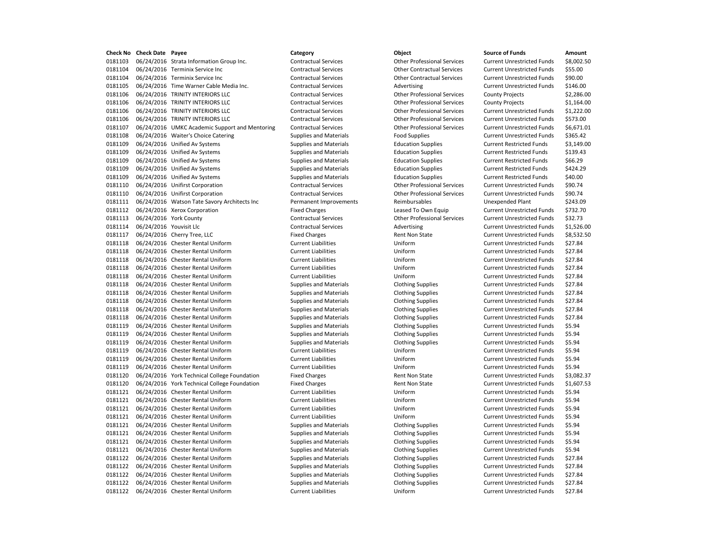**Check No Check Date Payee Category Object Source of Funds Amount** 0181103 06/24/2016 Strata Information Group Inc. Contractual Services Other Professional Services Current Unrestricted Funds \$8,002.50 0181104 06/24/2016 Terminix Service Inc Contractual Services Other Contractual Services Current Unrestricted Funds \$55.00 0181104 06/24/2016 Terminix Service Inc Contractual Services Other Contractual Services Current Unrestricted Funds \$90.00 0181105 06/24/2016 Time Warner Cable Media Inc. Contractual Services Advertising Advertising Current Unrestricted Funds \$146.00 0181106 06/24/2016 TRINITY INTERIORS LLC Contractual Services Other Professional Services County Projects \$2,286.00 0181106 06/24/2016 TRINITY INTERIORS LLC Contractual Services Other Professional Services County Projects \$1,164.00 0181106 06/24/2016 TRINITY INTERIORS LLC Contractual Services Other Professional Services Current Unrestricted Funds \$1,222.00 0181106 06/24/2016 TRINITY INTERIORS LLC Contractual Services Other Professional Services Current Unrestricted Funds \$573.00 0181107 06/24/2016 UMKC Academic Support and Mentoring Contractual Services Other Professional Services Current Unrestricted Funds \$6,671.01 0181108 06/24/2016 Waiter's Choice Catering Supplies and Materials Food Supplies Current Unrestricted Funds \$365.42 0181109 06/24/2016 Unified Av Systems Supplies and Materials Education Supplies Current Restricted Funds \$3,149.00 0181109 06/24/2016 Unified Av Systems Supplies and Materials Education Supplies Current Restricted Funds \$139.43 0181109 06/24/2016 Unified Av Systems Supplies and Materials Education Supplies Current Restricted Funds \$66.29 0181109 06/24/2016 Unified Av Systems Supplies and Materials Education Supplies Current Restricted Funds \$424.29 0181109 06/24/2016 Unified Av Systems Supplies and Materials Education Supplies Current Restricted Funds \$40.00 0181110 06/24/2016 Unifirst Corporation Contractual Services Other Professional Services Current Unrestricted Funds \$90.74 0181110 06/24/2016 Unifirst Corporation Contractual Services Other Professional Services Current Unrestricted Funds \$90.74 0181111 06/24/2016 Watson Tate Savory Architects Inc Permanent Improvements Reimbursables Unexpended Plant \$243.09 0181112 06/24/2016 Xerox Corporation The South Charges Fixed Charges Leased To Own Equip Current Unrestricted Funds \$732.70 0181113 06/24/2016 York County Contractual Services Other Professional Services Current Unrestricted Funds \$32.73 0181114 06/24/2016 Youvisit Llc **Contractual Services** Contractual Services Advertising Current Unrestricted Funds \$1,526.00 0181117 06/24/2016 Cherry Tree, LLC **Fixed Charges** Fixed Charges Rent Non State Current Unrestricted Funds \$8,532.50 0181118 06/24/2016 Chester Rental Uniform Current Liabilities Uniform Current Unrestricted Funds \$27.84 0181118 06/24/2016 Chester Rental Uniform Current Liabilities Uniform Current Unrestricted Funds \$27.84 0181118 06/24/2016 Chester Rental Uniform Current Liabilities Uniform Uniform Current Unrestricted Funds \$27.84 0181118 06/24/2016 Chester Rental Uniform Current Liabilities Uniform Current Unrestricted Funds \$27.84 0181118 06/24/2016 Chester Rental Uniform Current Liabilities Uniform Uniform Current Unrestricted Funds \$27.84 0181118 06/24/2016 Chester Rental Uniform Supplies and Materials Clothing Supplies Current Unrestricted Funds \$27.84 0181118 06/24/2016 Chester Rental Uniform Supplies and Materials Clothing Supplies Current Unrestricted Funds \$27.84 0181118 06/24/2016 Chester Rental Uniform Supplies and Materials Clothing Supplies Current Unrestricted Funds \$27.84 0181118 06/24/2016 Chester Rental Uniform Supplies and Materials Clothing Supplies Current Unrestricted Funds \$27.84 0181118 06/24/2016 Chester Rental Uniform Supplies and Materials Clothing Supplies Current Unrestricted Funds \$27.84 0181119 06/24/2016 Chester Rental Uniform Supplies and Materials Clothing Supplies Current Unrestricted Funds \$5.94 0181119 06/24/2016 Chester Rental Uniform Supplies and Materials Clothing Supplies Current Unrestricted Funds \$5.94 0181119 06/24/2016 Chester Rental Uniform Supplies and Materials Clothing Supplies Current Unrestricted Funds \$5.94 0181119 06/24/2016 Chester Rental Uniform Current Liabilities Uniform Current Unrestricted Funds \$5.94 0181119 06/24/2016 Chester Rental Uniform Current Liabilities Uniform Current Unrestricted Funds \$5.94 0181119 06/24/2016 Chester Rental Uniform Current Liabilities Uniform Current Unrestricted Funds \$5.94 0181120 06/24/2016 York Technical College Foundation Fixed Charges Rent Non State Current Unrestricted Funds \$3,082.37 0181120 06/24/2016 York Technical College Foundation Fixed Charges Rent Non State Current Unrestricted Funds \$1,607.53 0181121 06/24/2016 Chester Rental Uniform Current Liabilities Uniform Current Unrestricted Funds \$5.94 0181121 06/24/2016 Chester Rental Uniform Current Liabilities Uniform Current Unrestricted Funds \$5.94 0181121 06/24/2016 Chester Rental Uniform Current Liabilities Uniform Current Unrestricted Funds \$5.94 0181121 06/24/2016 Chester Rental Uniform Current Liabilities Uniform Current Unrestricted Funds \$5.94 0181121 06/24/2016 Chester Rental Uniform Supplies and Materials Clothing Supplies Current Unrestricted Funds \$5.94 0181121 06/24/2016 Chester Rental Uniform Supplies and Materials Clothing Supplies Current Unrestricted Funds \$5.94 0181121 06/24/2016 Chester Rental Uniform Supplies and Materials Clothing Supplies Current Unrestricted Funds \$5.94 0181121 06/24/2016 Chester Rental Uniform Supplies and Materials Clothing Supplies Current Unrestricted Funds \$5.94 0181122 06/24/2016 Chester Rental Uniform Supplies and Materials Clothing Supplies Current Unrestricted Funds \$27.84 0181122 06/24/2016 Chester Rental Uniform Supplies and Materials Clothing Supplies Current Unrestricted Funds \$27.84 0181122 06/24/2016 Chester Rental Uniform Supplies and Materials Clothing Supplies Current Unrestricted Funds \$27.84 0181122 06/24/2016 Chester Rental Uniform Supplies and Materials Clothing Supplies Current Unrestricted Funds \$27.84 0181122 06/24/2016 Chester Rental Uniform Current Liabilities Uniform Current Unrestricted Funds \$27.84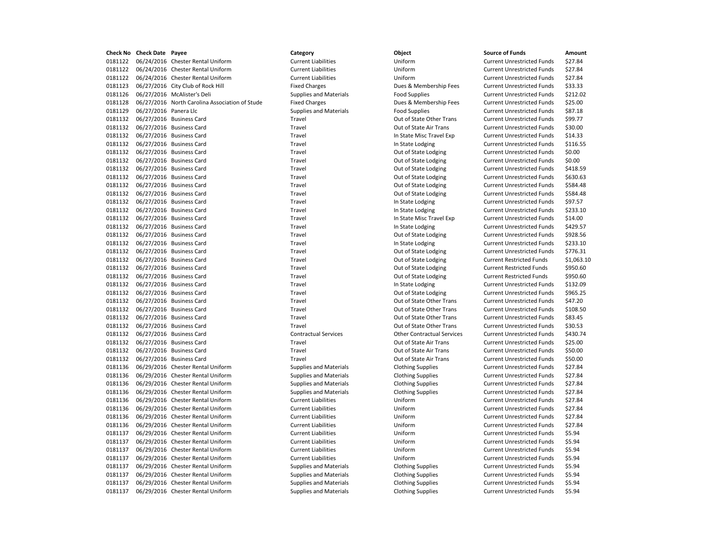**Check No Check Date Payee Category Object Source of Funds Amount** 0181122 06/24/2016 Chester Rental Uniform Current Liabilities Uniform Uniform Current Unrestricted Funds \$27.84 0181122 06/24/2016 Chester Rental Uniform Current Liabilities Uniform Current Unrestricted Funds \$27.84 0181122 06/24/2016 Chester Rental Uniform Current Liabilities Uniform Current Unrestricted Funds \$27.84 0181123 06/27/2016 City Club of Rock Hill Fixed Charges Fixed Current Unrestricted Funds \$33.33 0181126 06/27/2016 McAlister's Deli Supplies and Materials Food Supplies Current Unrestricted Funds \$212.02 0181128 06/27/2016 North Carolina Association of Stude Fixed Charges Dues & Membership Fees Current Unrestricted Funds \$25.00 0181129 06/27/2016 Panera Llc Supplies and Materials Food Supplies Food Supplies Current Unrestricted Funds \$87.18 0181132 06/27/2016 Business Card Travel Out of State Other Trans Current Unrestricted Funds \$99.77 0181132 06/27/2016 Business Card Travel Out of State Air Trans Current Unrestricted Funds \$30.00 0181132 06/27/2016 Business Card Travel Travel Travel In State Misc Travel Exp Current Unrestricted Funds \$14.33 0181132 06/27/2016 Business Card Travel Travel Travel Current Unrestricted Funds \$116.55 0181132 06/27/2016 Business Card Travel Travel Travel Out of State Lodging Current Unrestricted Funds \$0.00 0181132 06/27/2016 Business Card Travel Travel Current Dut of State Lodging Current Unrestricted Funds \$0.00 0181132 06/27/2016 Business Card Travel Travel Travel Current Unrestricted Funds \$418.59 0181132 06/27/2016 Business Card Travel Travel Travel Current Unrestricted Funds \$630.63 0181132 06/27/2016 Business Card Travel Out of State Lodging Current Unrestricted Funds \$584.48 0181132 06/27/2016 Business Card Travel Out of State Lodging Current Unrestricted Funds \$584.48 0181132 06/27/2016 Business Card Travel Travel Travel In State Lodging Current Unrestricted Funds \$97.57 0181132 06/27/2016 Business Card Travel Travel Travel In State Lodging Current Unrestricted Funds \$233.10 0181132 06/27/2016 Business Card Travel Travel Travel In State Misc Travel Exp Current Unrestricted Funds \$14.00 0181132 06/27/2016 Business Card Travel Travel Travel In State Lodging Current Unrestricted Funds \$429.57 0181132 06/27/2016 Business Card Travel Travel Travel Out of State Lodging Current Unrestricted Funds \$928.56 0181132 06/27/2016 Business Card Travel Travel Travel In State Lodging Current Unrestricted Funds \$233.10 0181132 06/27/2016 Business Card Travel Out of State Lodging Current Unrestricted Funds \$776.31 0181132 06/27/2016 Business Card Travel Travel Travel Out of State Lodging Current Restricted Funds \$1,063.10 0181132 06/27/2016 Business Card Travel Travel Travel Current Restricted Funds \$950.60 0181132 06/27/2016 Business Card Travel Out of State Lodging Current Restricted Funds \$950.60 0181132 06/27/2016 Business Card Travel In State Lodging Current Unrestricted Funds \$132.09 0181132 06/27/2016 Business Card Travel Out of State Lodging Current Unrestricted Funds \$965.25 0181132 06/27/2016 Business Card Travel Out of State Other Trans Current Unrestricted Funds \$47.20 0181132 06/27/2016 Business Card Travel Travel Travel Current Unrestricted Funds \$108.50 0181132 06/27/2016 Business Card Travel Travel Travel Cut of State Other Trans Current Unrestricted Funds \$83.45 0181132 06/27/2016 Business Card Travel Travel Travel Out of State Other Trans Current Unrestricted Funds \$30.53 0181132 06/27/2016 Business Card Contractual Services Other Contractual Services Current Unrestricted Funds \$430.74 0181132 06/27/2016 Business Card Travel Travel Travel Out of State Air Trans Current Unrestricted Funds \$25.00 0181132 06/27/2016 Business Card Travel Out of State Air Trans Current Unrestricted Funds \$50.00 0181132 06/27/2016 Business Card Travel Out of State Air Trans Current Unrestricted Funds \$50.00 0181136 06/29/2016 Chester Rental Uniform Supplies and Materials Clothing Supplies Current Unrestricted Funds \$27.84 0181136 06/29/2016 Chester Rental Uniform Supplies and Materials Clothing Supplies Current Unrestricted Funds \$27.84 0181136 06/29/2016 Chester Rental Uniform Supplies and Materials Clothing Supplies Current Unrestricted Funds \$27.84 0181136 06/29/2016 Chester Rental Uniform Supplies and Materials Clothing Supplies Current Unrestricted Funds \$27.84 0181136 06/29/2016 Chester Rental Uniform Current Liabilities Uniform Current Unrestricted Funds \$27.84 0181136 06/29/2016 Chester Rental Uniform Current Liabilities Uniform Current Unrestricted Funds \$27.84 0181136 06/29/2016 Chester Rental Uniform Current Liabilities Uniform Current Unrestricted Funds \$27.84 0181136 06/29/2016 Chester Rental Uniform Current Liabilities Uniform Current Unrestricted Funds \$27.84 0181137 06/29/2016 Chester Rental Uniform Current Liabilities Uniform Current Unrestricted Funds \$5.94 0181137 06/29/2016 Chester Rental Uniform Current Liabilities Uniform Current Unrestricted Funds \$5.94 0181137 06/29/2016 Chester Rental Uniform Current Liabilities Uniform Current Unrestricted Funds \$5.94 0181137 06/29/2016 Chester Rental Uniform Current Liabilities Uniform Current Unrestricted Funds \$5.94 0181137 06/29/2016 Chester Rental Uniform Supplies and Materials Clothing Supplies Current Unrestricted Funds \$5.94 0181137 06/29/2016 Chester Rental Uniform Supplies and Materials Clothing Supplies Current Unrestricted Funds \$5.94 0181137 06/29/2016 Chester Rental Uniform Supplies and Materials Clothing Supplies Current Unrestricted Funds \$5.94 0181137 06/29/2016 Chester Rental Uniform Supplies and Materials Clothing Supplies Current Unrestricted Funds \$5.94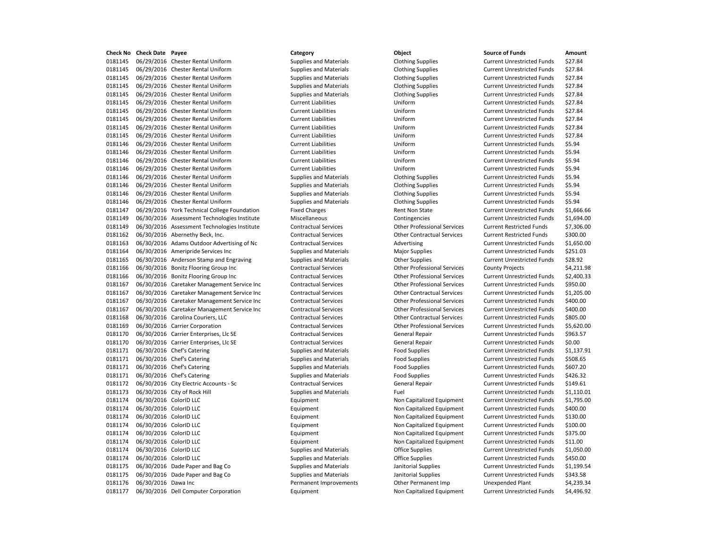0181145 06/29/2016 Chester Rental Uniform Supplies and Materials Clothing Supplies Current Unrestricted Funds \$27.84 0181145 06/29/2016 Chester Rental Uniform Supplies and Materials Clothing Supplies Current Unrestricted Funds \$27.84 0181145 06/29/2016 Chester Rental Uniform Supplies and Materials Clothing Supplies Current Unrestricted Funds \$27.84 0181145 06/29/2016 Chester Rental Uniform Supplies and Materials Clothing Supplies Current Unrestricted Funds \$27.84 0181145 06/29/2016 Chester Rental Uniform Supplies and Materials Clothing Supplies Current Unrestricted Funds \$27.84 0181145 06/29/2016 Chester Rental Uniform Current Liabilities Uniform Current Unrestricted Funds \$27.84 0181145 06/29/2016 Chester Rental Uniform Current Liabilities Uniform Current Unrestricted Funds \$27.84 0181145 06/29/2016 Chester Rental Uniform Current Liabilities Uniform Current Unrestricted Funds \$27.84 0181145 06/29/2016 Chester Rental Uniform Current Liabilities Uniform Current Unrestricted Funds \$27.84 0181145 06/29/2016 Chester Rental Uniform Current Liabilities Uniform Uniform Current Unrestricted Funds \$27.84 0181146 06/29/2016 Chester Rental Uniform Current Liabilities Uniform Current Unrestricted Funds \$5.94 0181146 06/29/2016 Chester Rental Uniform Current Liabilities Uniform Current Unrestricted Funds \$5.94 0181146 06/29/2016 Chester Rental Uniform Current Liabilities Uniform Current Unrestricted Funds \$5.94 0181146 06/29/2016 Chester Rental Uniform Current Liabilities Current Liabilities Uniform Current Unrestricted Funds \$5.94 0181146 06/29/2016 Chester Rental Uniform Supplies and Materials Clothing Supplies Current Unrestricted Funds \$5.94 0181146 06/29/2016 Chester Rental Uniform Supplies and Materials Clothing Supplies Current Unrestricted Funds \$5.94 0181146 06/29/2016 Chester Rental Uniform Supplies and Materials Clothing Supplies Current Unrestricted Funds \$5.94 0181146 06/29/2016 Chester Rental Uniform Supplies and Materials Clothing Supplies Current Unrestricted Funds \$5.94 0181147 06/29/2016 York Technical College Foundation Fixed Charges Rent Non State Current Unrestricted Funds \$1,666.66 0181149 06/30/2016 Assessment Technologies Institute Miscellaneous Contingencies Current Unrestricted Funds \$1,694.00 0181149 06/30/2016 Assessment Technologies Institute Contractual Services Other Professional Services Current Restricted Funds \$7,306.00 0181162 06/30/2016 Abernethy Beck, Inc. Contractual Services Other Contractual Services Current Restricted Funds \$300.00 0181163 06/30/2016 Adams Outdoor Advertising of Nc Contractual Services Advertising Advertising Current Unrestricted Funds \$1,650.00 0181164 06/30/2016 Ameripride Services Inc Supplies and Materials Major Supplies Magnet Current Unrestricted Funds \$251.03 0181165 06/30/2016 Anderson Stamp and Engraving Supplies and Materials Current Unrestricted Funds 528.92 0181166 06/30/2016 Bonitz Flooring Group Inc Contractual Services Other Professional Services County Projects \$4,211.98 0181166 06/30/2016 Bonitz Flooring Group Inc Contractual Services Other Professional Services Current Unrestricted Funds \$2,400.33 0181167 06/30/2016 Caretaker Management Service Inc Contractual Services Other Professional Services Current Unrestricted Funds \$950.00 0181167 06/30/2016 Caretaker Management Service Inc Contractual Services Current Contractual Services Current Unrestricted Funds \$1,205.00 0181167 06/30/2016 Caretaker Management Service Inc Contractual Services Other Professional Services Current Unrestricted Funds \$400.00 0181167 06/30/2016 Caretaker Management Service Inc Contractual Services Other Professional Services Current Unrestricted Funds \$400.00 0181168 06/30/2016 Carolina Couriers, LLC Contractual Services Other Contractual Services Current Unrestricted Funds \$805.00 0181169 06/30/2016 Carrier Corporation Contractual Services Other Professional Services Current Unrestricted Funds \$5,620.00 0181170 06/30/2016 Carrier Enterprises, Llc SE Contractual Services General Repair Current Unrestricted Funds \$963.57 0181170 06/30/2016 Carrier Enterprises, Llc SE Contractual Services General Repair Current Unrestricted Funds \$0.00 0181171 06/30/2016 Chef's Catering Supplies and Materials Food Supplies Current Unrestricted Funds \$1,137.91 0181171 06/30/2016 Chef's Catering Supplies and Materials Food Supplies Food Supplies Current Unrestricted Funds \$508.65 0181171 06/30/2016 Chef's Catering The Supplies and Materials Theod Supplies Current Unrestricted Funds \$607.20 0181171 06/30/2016 Chef's Catering Supplies and Materials Food Supplies Food Supplies Current Unrestricted Funds \$426.32 0181172 06/30/2016 City Electric Accounts - Sc Contractual Services General Repair Current Unrestricted Funds \$149.61 0181173 06/30/2016 City of Rock Hill Supplies and Materials Fuel Current Unrestricted Funds \$1,110.01 0181174 06/30/2016 ColorID LLC **Color**ing Least Current Equipment Non Capitalized Equipment Current Unrestricted Funds \$1,795.00 0181174 06/30/2016 ColorID LLC **ColorID LLC** Equipment Equipment Non Capitalized Equipment Current Unrestricted Funds \$400.00 0181174 06/30/2016 ColorID LLC Equipment Non Capitalized Equipment Current Unrestricted Funds \$130.00 0181174 06/30/2016 ColorID LLC Equipment Non Capitalized Equipment Current Unrestricted Funds \$100.00 0181174 06/30/2016 ColorID LLC Equipment Non Capitalized Equipment Current Unrestricted Funds \$375.00 0181174 06/30/2016 ColorID LLC Equipment Non Capitalized Equipment Current Unrestricted Funds \$11.00 0181174 06/30/2016 ColorID LLC **Supplies and Materials** Office Supplies Current Unrestricted Funds \$1,050.00 0181174 06/30/2016 ColorID LLC **Supplies and Materials** Office Supplies Current Unrestricted Funds \$450.00 0181175 06/30/2016 Dade Paper and Bag Co Supplies and Materials Janitorial Supplies Current Unrestricted Funds \$1,199.54 0181175 06/30/2016 Dade Paper and Bag Co Supplies and Materials Janitorial Supplies Current Unrestricted Funds \$343.58 0181176 06/30/2016 Dawa Inc Permanent Improvements Other Permanent Imp Unexpended Plant \$4,239.34 0181177 06/30/2016 Dell Computer Corporation Equipment Non Capitalized Equipment Current Unrestricted Funds \$4,496.92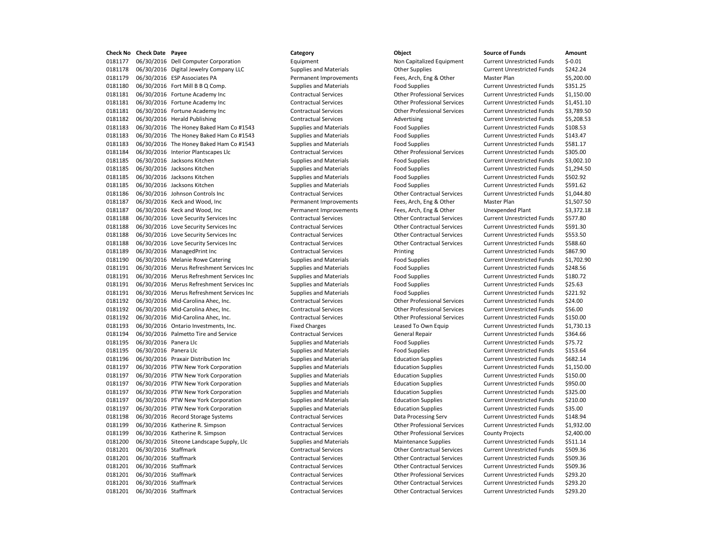06/30/2016 Dell Computer Corporation Equipment Non Capitalized Equipment Current Unrestricted Funds \$-0.01 0181178 06/30/2016 Digital Jewelry Company LLC Supplies and Materials Other Supplies Current Unrestricted Funds \$242.24 06/30/2016 ESP Associates PA Permanent Improvements Fees, Arch, Eng & Other Master Plan \$5,200.00 06/30/2016 Fort Mill B B Q Comp. Supplies and Materials Food Supplies Current Unrestricted Funds \$351.25 06/30/2016 Fortune Academy Inc Contractual Services Other Professional Services Current Unrestricted Funds \$1,150.00 06/30/2016 Fortune Academy Inc Contractual Services Other Professional Services Current Unrestricted Funds \$1,451.10 06/30/2016 Fortune Academy Inc Contractual Services Other Professional Services Current Unrestricted Funds \$3,789.50 0181182 06/30/2016 Herald Publishing Contractual Services Advertising Current Unrestricted Funds \$5,208.53 0181183 06/30/2016 The Honey Baked Ham Co #1543 Supplies and Materials Food Supplies Food Supplies Current Unrestricted Funds \$108.53 0181183 06/30/2016 The Honey Baked Ham Co #1543 Supplies and Materials Food Supplies Current Unrestricted Funds \$143.47 0181183 06/30/2016 The Honey Baked Ham Co #1543 Supplies and Materials Food Supplies Food Supplies Current Unrestricted Funds \$581.17 06/30/2016 Interior Plantscapes Llc Contractual Services Other Professional Services Current Unrestricted Funds \$305.00 0181185 06/30/2016 Jacksons Kitchen Supplies and Materials Food Supplies Current Unrestricted Funds \$3,002.10 0181185 06/30/2016 Jacksons Kitchen Supplies and Materials Food Supplies Food Supplies Current Unrestricted Funds \$1,294.50 0181185 06/30/2016 Jacksons Kitchen Supplies and Materials Food Supplies Food Supplies Current Unrestricted Funds 5502.92 0181185 06/30/2016 Jacksons Kitchen Supplies and Materials Food Supplies Food Supplies Current Unrestricted Funds \$591.62 06/30/2016 Johnson Controls Inc Contractual Services Other Contractual Services Current Unrestricted Funds \$1,044.80 0181187 06/30/2016 Keck and Wood, Inc **Permanent Improvements** Fees, Arch, Eng & Other Master Plan \$1,507.50 06/30/2016 Keck and Wood, Inc Permanent Improvements Fees, Arch, Eng & Other Unexpended Plant \$3,372.18 06/30/2016 Love Security Services Inc Contractual Services Other Contractual Services Current Unrestricted Funds \$577.80 06/30/2016 Love Security Services Inc Contractual Services Other Contractual Services Current Unrestricted Funds \$591.30 06/30/2016 Love Security Services Inc Contractual Services Other Contractual Services Current Unrestricted Funds \$553.50 06/30/2016 Love Security Services Inc Contractual Services Other Contractual Services Current Unrestricted Funds \$588.60 0181189 06/30/2016 ManagedPrint Inc **Contractual Services** Printing Current Unrestricted Funds \$867.90 0181190 06/30/2016 Melanie Rowe Catering Supplies and Materials Food Supplies Current Unrestricted Funds \$1,702.90 0181191 06/30/2016 Merus Refreshment Services Inc Supplies and Materials Food Supplies Food Supplies Current Unrestricted Funds \$248.56 06/30/2016 Merus Refreshment Services Inc Supplies and Materials Food Supplies Current Unrestricted Funds \$180.72 06/30/2016 Merus Refreshment Services Inc Supplies and Materials Food Supplies Current Unrestricted Funds \$25.63 06/30/2016 Merus Refreshment Services Inc Supplies and Materials Food Supplies Current Unrestricted Funds \$221.92 06/30/2016 Mid-Carolina Ahec, Inc. Contractual Services Other Professional Services Current Unrestricted Funds \$24.00 06/30/2016 Mid-Carolina Ahec, Inc. Contractual Services Other Professional Services Current Unrestricted Funds \$56.00 06/30/2016 Mid-Carolina Ahec, Inc. Contractual Services Other Professional Services Current Unrestricted Funds \$150.00 0181193 06/30/2016 Ontario Investments, Inc. Fixed Charges Leased To Own Equip Current Unrestricted Funds \$1,730.13 06/30/2016 Palmetto Tire and Service Contractual Services General Repair Current Unrestricted Funds \$364.66 0181195 06/30/2016 Panera Llc **Supplies and Materials** Food Supplies Food Supplies Current Unrestricted Funds \$75.72 0181195 06/30/2016 Panera Llc **Supplies and Materials** Food Supplies **Food Supplies Current Unrestricted Funds** \$153.64 06/30/2016 Praxair Distribution Inc Supplies and Materials Education Supplies Current Unrestricted Funds \$682.14 0181197 06/30/2016 PTW New York Corporation Supplies and Materials Education Supplies Current Unrestricted Funds \$1,150.00 06/30/2016 PTW New York Corporation Supplies and Materials Education Supplies Current Unrestricted Funds \$150.00 06/30/2016 PTW New York Corporation Supplies and Materials Education Supplies Current Unrestricted Funds \$950.00 06/30/2016 PTW New York Corporation Supplies and Materials Education Supplies Current Unrestricted Funds \$325.00 06/30/2016 PTW New York Corporation Supplies and Materials Education Supplies Current Unrestricted Funds \$210.00 06/30/2016 PTW New York Corporation Supplies and Materials Education Supplies Current Unrestricted Funds \$35.00 06/30/2016 Record Storage Systems Contractual Services Data Processing Serv Current Unrestricted Funds \$148.94 06/30/2016 Katherine R. Simpson Contractual Services Other Professional Services Current Unrestricted Funds \$1,932.00 06/30/2016 Katherine R. Simpson Contractual Services Other Professional Services County Projects \$2,400.00 0181200 06/30/2016 Siteone Landscape Supply, Llc Supplies and Materials Maintenance Supplies Current Unrestricted Funds \$511.14 06/30/2016 Staffmark Contractual Services Other Contractual Services Current Unrestricted Funds \$509.36 06/30/2016 Staffmark Contractual Services Other Contractual Services Current Unrestricted Funds \$509.36 06/30/2016 Staffmark Contractual Services Other Contractual Services Current Unrestricted Funds \$509.36 06/30/2016 Staffmark Contractual Services Other Professional Services Current Unrestricted Funds \$293.20 06/30/2016 Staffmark Contractual Services Other Contractual Services Current Unrestricted Funds \$293.20 06/30/2016 Staffmark Contractual Services Other Contractual Services Current Unrestricted Funds \$293.20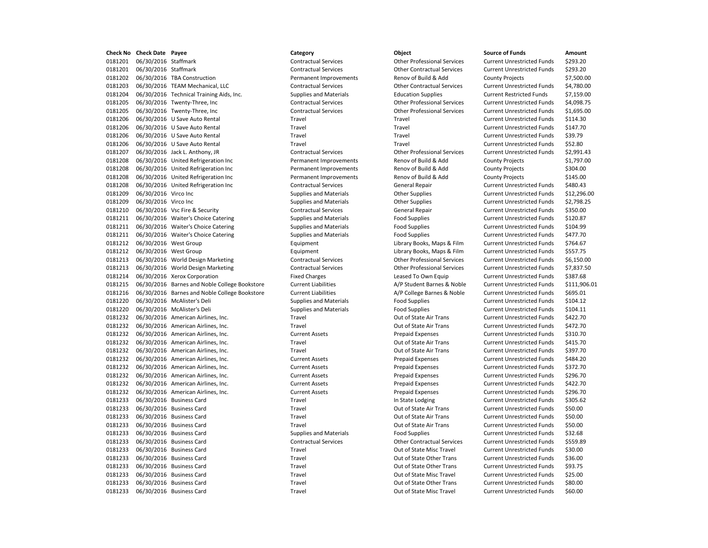06/30/2016 Staffmark Contractual Services Other Professional Services Current Unrestricted Funds \$293.20 06/30/2016 Staffmark Contractual Services Other Contractual Services Current Unrestricted Funds \$293.20 06/30/2016 TBA Construction Permanent Improvements Renov of Build & Add County Projects \$7,500.00 06/30/2016 TEAM Mechanical, LLC Contractual Services Other Contractual Services Current Unrestricted Funds \$4,780.00 0181204 06/30/2016 Technical Training Aids, Inc. Supplies and Materials Education Supplies Current Restricted Funds \$7,159.00 06/30/2016 Twenty-Three, Inc Contractual Services Other Professional Services Current Unrestricted Funds \$4,098.75 06/30/2016 Twenty-Three, Inc Contractual Services Other Professional Services Current Unrestricted Funds \$1,695.00 0181206 06/30/2016 U Save Auto Rental Travel Travel Travel Travel Travel Travel Current Unrestricted Funds \$114.30 06/30/2016 U Save Auto Rental Travel Travel Current Unrestricted Funds \$147.70 06/30/2016 U Save Auto Rental Travel Travel Current Unrestricted Funds \$39.79 06/30/2016 U Save Auto Rental Travel Travel Current Unrestricted Funds \$52.80 06/30/2016 Jack L. Anthony, JR Contractual Services Other Professional Services Current Unrestricted Funds \$2,991.43 06/30/2016 United Refrigeration Inc Permanent Improvements Renov of Build & Add County Projects \$1,797.00 06/30/2016 United Refrigeration Inc Permanent Improvements Renov of Build & Add County Projects \$304.00 06/30/2016 United Refrigeration Inc Permanent Improvements Renov of Build & Add County Projects \$145.00 06/30/2016 United Refrigeration Inc Contractual Services General Repair Current Unrestricted Funds \$480.43 0181209 06/30/2016 Virco Inc Current Unrestricted Funds Supplies and Materials Current Unrestricted Funds 512,296.00 0181209 06/30/2016 Virco Inc Current Unrestricted Funds (2,798.25 Supplies and Materials Current Unrestricted Funds \$2,798.25 06/30/2016 Vsc Fire & Security Contractual Services General Repair Current Unrestricted Funds \$350.00 0181211 06/30/2016 Waiter's Choice Catering Supplies and Materials Food Supplies Current Unrestricted Funds \$120.87 0181211 06/30/2016 Waiter's Choice Catering Supplies and Materials Food Supplies Current Unrestricted Funds \$104.99 0181211 06/30/2016 Waiter's Choice Catering Supplies and Materials Food Supplies Food Supplies Current Unrestricted Funds \$477.70 06/30/2016 West Group Equipment Library Books, Maps & Film Current Unrestricted Funds \$764.67 06/30/2016 West Group Equipment Library Books, Maps & Film Current Unrestricted Funds \$557.75 06/30/2016 World Design Marketing Contractual Services Other Professional Services Current Unrestricted Funds \$6,150.00 06/30/2016 World Design Marketing Contractual Services Other Professional Services Current Unrestricted Funds \$7,837.50 0181214 06/30/2016 Xerox Corporation **Fixed Charges** Fixed Charges Leased To Own Equip Current Unrestricted Funds \$387.68 06/30/2016 Barnes and Noble College Bookstore Current Liabilities A/P Student Barnes & Noble Current Unrestricted Funds \$111,906.01 06/30/2016 Barnes and Noble College Bookstore Current Liabilities A/P College Barnes & Noble Current Unrestricted Funds \$695.01 0181220 06/30/2016 McAlister's Deli Supplies and Materials Food Supplies Food Supplies Current Unrestricted Funds \$104.12 0181220 06/30/2016 McAlister's Deli Supplies and Materials Food Supplies Current Unrestricted Funds \$104.11 0181232 06/30/2016 American Airlines, Inc. The Current Unrestricted Funds S422.70 0181232 06/30/2016 American Airlines, Inc. Travel Travel Current Unrestricted Funds \$472.70 06/30/2016 American Airlines, Inc. Current Assets Prepaid Expenses Current Unrestricted Funds \$310.70 0181232 06/30/2016 American Airlines, Inc. Travel Travel Current Unrestricted Funds \$415.70 0181232 06/30/2016 American Airlines, Inc. Travel Travel Current Unrestricted Funds \$397.70 06/30/2016 American Airlines, Inc. Current Assets Prepaid Expenses Current Unrestricted Funds \$484.20 06/30/2016 American Airlines, Inc. Current Assets Prepaid Expenses Current Unrestricted Funds \$372.70 06/30/2016 American Airlines, Inc. Current Assets Prepaid Expenses Current Unrestricted Funds \$296.70 06/30/2016 American Airlines, Inc. Current Assets Prepaid Expenses Current Unrestricted Funds \$422.70 06/30/2016 American Airlines, Inc. Current Assets Prepaid Expenses Current Unrestricted Funds \$296.70 06/30/2016 Business Card Travel In State Lodging Current Unrestricted Funds \$305.62 06/30/2016 Business Card Travel Out of State Air Trans Current Unrestricted Funds \$50.00 06/30/2016 Business Card Travel Out of State Air Trans Current Unrestricted Funds \$50.00 06/30/2016 Business Card Travel Out of State Air Trans Current Unrestricted Funds \$50.00 0181233 06/30/2016 Business Card Supplies and Materials Food Supplies Food Supplies Current Unrestricted Funds \$32.68 06/30/2016 Business Card Contractual Services Other Contractual Services Current Unrestricted Funds \$559.89 06/30/2016 Business Card Travel Out of State Misc Travel Current Unrestricted Funds \$30.00 06/30/2016 Business Card Travel Out of State Other Trans Current Unrestricted Funds \$36.00 0181233 06/30/2016 Business Card Travel Travel Travel Out of State Other Trans Current Unrestricted Funds \$93.75 06/30/2016 Business Card Travel Out of State Misc Travel Current Unrestricted Funds \$25.00 06/30/2016 Business Card Travel Out of State Other Trans Current Unrestricted Funds \$80.00 06/30/2016 Business Card Travel Out of State Misc Travel Current Unrestricted Funds \$60.00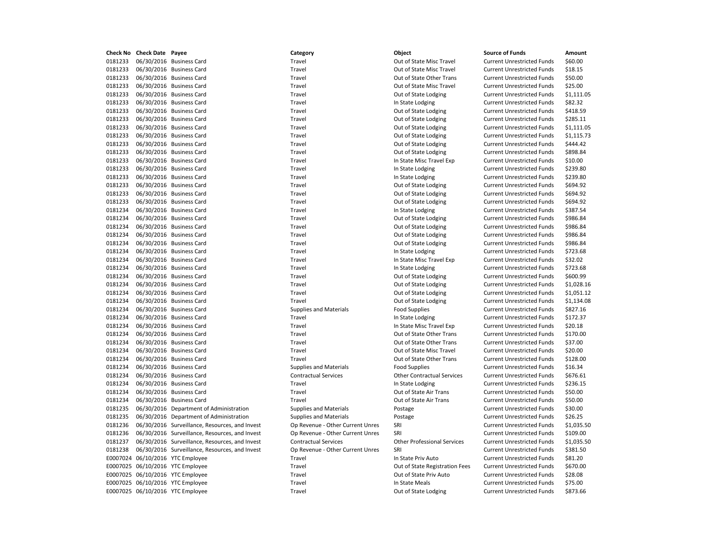| Check No | <b>Check Date Payee</b> |                                                | Category                         | Object                                     | <b>Source of Funds</b>                                                 | Amount    |
|----------|-------------------------|------------------------------------------------|----------------------------------|--------------------------------------------|------------------------------------------------------------------------|-----------|
| 0181233  |                         | 06/30/2016 Business Card                       | Travel                           | Out of State Misc Travel                   | <b>Current Unrestricted Funds</b>                                      | \$60.00   |
| 0181233  |                         | 06/30/2016 Business Card                       | Travel                           | Out of State Misc Travel                   | <b>Current Unrestricted Funds</b>                                      | \$18.15   |
| 0181233  |                         | 06/30/2016 Business Card                       | Travel                           | Out of State Other Trans                   | <b>Current Unrestricted Funds</b>                                      | \$50.00   |
| 0181233  |                         | 06/30/2016 Business Card                       | Travel                           | Out of State Misc Travel                   | <b>Current Unrestricted Funds</b>                                      | \$25.00   |
| 0181233  |                         | 06/30/2016 Business Card                       | Travel                           | Out of State Lodging                       | <b>Current Unrestricted Funds</b>                                      | \$1,111.0 |
| 0181233  |                         | 06/30/2016 Business Card                       | Travel                           | In State Lodging                           | <b>Current Unrestricted Funds</b>                                      | \$82.32   |
| 0181233  |                         | 06/30/2016 Business Card                       | Travel                           | Out of State Lodging                       | <b>Current Unrestricted Funds</b>                                      | \$418.59  |
| 0181233  |                         | 06/30/2016 Business Card                       | Travel                           | Out of State Lodging                       | <b>Current Unrestricted Funds</b>                                      | \$285.11  |
| 0181233  |                         | 06/30/2016 Business Card                       | Travel                           | Out of State Lodging                       | <b>Current Unrestricted Funds</b>                                      | \$1,111.0 |
| 0181233  |                         | 06/30/2016 Business Card                       | Travel                           | Out of State Lodging                       | <b>Current Unrestricted Funds</b>                                      | \$1,115.  |
| 0181233  |                         | 06/30/2016 Business Card                       | Travel                           | Out of State Lodging                       | <b>Current Unrestricted Funds</b>                                      | \$444.42  |
| 0181233  |                         | 06/30/2016 Business Card                       | Travel                           | Out of State Lodging                       | <b>Current Unrestricted Funds</b>                                      | \$898.84  |
| 0181233  |                         | 06/30/2016 Business Card                       | Travel                           | In State Misc Travel Exp                   | <b>Current Unrestricted Funds</b>                                      | \$10.00   |
| 0181233  |                         | 06/30/2016 Business Card                       | Travel                           | In State Lodging                           | <b>Current Unrestricted Funds</b>                                      | \$239.80  |
| 0181233  |                         | 06/30/2016 Business Card                       | Travel                           | In State Lodging                           | <b>Current Unrestricted Funds</b>                                      | \$239.80  |
| 0181233  |                         | 06/30/2016 Business Card                       | Travel                           | Out of State Lodging                       | <b>Current Unrestricted Funds</b>                                      | \$694.92  |
| 0181233  |                         | 06/30/2016 Business Card                       | Travel                           | Out of State Lodging                       | <b>Current Unrestricted Funds</b>                                      | \$694.92  |
| 0181233  |                         | 06/30/2016 Business Card                       | Travel                           | Out of State Lodging                       | <b>Current Unrestricted Funds</b>                                      | \$694.92  |
| 0181234  |                         | 06/30/2016 Business Card                       | Travel                           | In State Lodging                           | <b>Current Unrestricted Funds</b>                                      | \$387.54  |
| 0181234  |                         | 06/30/2016 Business Card                       | Travel                           | Out of State Lodging                       | <b>Current Unrestricted Funds</b>                                      | \$986.84  |
| 0181234  |                         | 06/30/2016 Business Card                       | Travel                           | Out of State Lodging                       | <b>Current Unrestricted Funds</b>                                      | \$986.84  |
| 0181234  |                         | 06/30/2016 Business Card                       | Travel                           | Out of State Lodging                       | <b>Current Unrestricted Funds</b>                                      | \$986.84  |
| 0181234  |                         | 06/30/2016 Business Card                       | Travel                           | Out of State Lodging                       | <b>Current Unrestricted Funds</b>                                      | \$986.84  |
| 0181234  |                         | 06/30/2016 Business Card                       | Travel                           | In State Lodging                           | <b>Current Unrestricted Funds</b>                                      | \$723.68  |
| 0181234  |                         | 06/30/2016 Business Card                       | Travel                           | In State Misc Travel Exp                   | <b>Current Unrestricted Funds</b>                                      | \$32.02   |
| 0181234  |                         | 06/30/2016 Business Card                       | Travel                           | In State Lodging                           | <b>Current Unrestricted Funds</b>                                      | \$723.68  |
| 0181234  |                         | 06/30/2016 Business Card                       | Travel                           | Out of State Lodging                       | <b>Current Unrestricted Funds</b>                                      | \$600.99  |
| 0181234  |                         | 06/30/2016 Business Card                       | Travel                           | Out of State Lodging                       | <b>Current Unrestricted Funds</b>                                      | \$1,028.1 |
| 0181234  |                         | 06/30/2016 Business Card                       | Travel                           | Out of State Lodging                       | <b>Current Unrestricted Funds</b>                                      | \$1.051.1 |
| 0181234  |                         | 06/30/2016 Business Card                       | Travel                           | Out of State Lodging                       | <b>Current Unrestricted Funds</b>                                      | \$1,134.0 |
| 0181234  |                         | 06/30/2016 Business Card                       | <b>Supplies and Materials</b>    | <b>Food Supplies</b>                       | <b>Current Unrestricted Funds</b>                                      | \$827.16  |
| 0181234  |                         | 06/30/2016 Business Card                       | Travel                           | In State Lodging                           | <b>Current Unrestricted Funds</b>                                      | \$172.37  |
| 0181234  |                         | 06/30/2016 Business Card                       | Travel                           | In State Misc Travel Exp                   | <b>Current Unrestricted Funds</b>                                      | \$20.18   |
| 0181234  |                         | 06/30/2016 Business Card                       | Travel                           | Out of State Other Trans                   | <b>Current Unrestricted Funds</b>                                      | \$170.00  |
| 0181234  |                         | 06/30/2016 Business Card                       | Travel                           | Out of State Other Trans                   | <b>Current Unrestricted Funds</b>                                      | \$37.00   |
| 0181234  |                         | 06/30/2016 Business Card                       | Travel                           | Out of State Misc Travel                   | <b>Current Unrestricted Funds</b>                                      | \$20.00   |
| 0181234  |                         | 06/30/2016 Business Card                       | Travel                           | Out of State Other Trans                   |                                                                        | \$128.00  |
| 0181234  |                         | 06/30/2016 Business Card                       | <b>Supplies and Materials</b>    | <b>Food Supplies</b>                       | <b>Current Unrestricted Funds</b><br><b>Current Unrestricted Funds</b> | \$16.34   |
| 0181234  |                         | 06/30/2016 Business Card                       | <b>Contractual Services</b>      |                                            |                                                                        | \$676.61  |
| 0181234  |                         | 06/30/2016 Business Card                       | Travel                           | <b>Other Contractual Services</b>          | <b>Current Unrestricted Funds</b><br><b>Current Unrestricted Funds</b> | \$236.15  |
| 0181234  |                         | 06/30/2016 Business Card                       | Travel                           | In State Lodging<br>Out of State Air Trans | <b>Current Unrestricted Funds</b>                                      | \$50.00   |
| 0181234  |                         |                                                | Travel                           | Out of State Air Trans                     |                                                                        | \$50.00   |
|          |                         | 06/30/2016 Business Card                       |                                  |                                            | <b>Current Unrestricted Funds</b>                                      |           |
| 0181235  |                         | 06/30/2016 Department of Administration        | <b>Supplies and Materials</b>    | Postage                                    | <b>Current Unrestricted Funds</b>                                      | \$30.00   |
| 0181235  |                         | 06/30/2016 Department of Administration        | <b>Supplies and Materials</b>    | Postage                                    | <b>Current Unrestricted Funds</b>                                      | \$26.25   |
| 0181236  |                         | 06/30/2016 Surveillance, Resources, and Invest | Op Revenue - Other Current Unres | SRI                                        | <b>Current Unrestricted Funds</b>                                      | \$1,035.5 |
| 0181236  |                         | 06/30/2016 Surveillance, Resources, and Invest | Op Revenue - Other Current Unres | SRI                                        | <b>Current Unrestricted Funds</b>                                      | \$109.00  |
| 0181237  |                         | 06/30/2016 Surveillance, Resources, and Invest | <b>Contractual Services</b>      | <b>Other Professional Services</b>         | <b>Current Unrestricted Funds</b>                                      | \$1,035.5 |
| 0181238  |                         | 06/30/2016 Surveillance, Resources, and Invest | Op Revenue - Other Current Unres | SRI                                        | <b>Current Unrestricted Funds</b>                                      | \$381.50  |
|          |                         | E0007024 06/10/2016 YTC Employee               | Travel                           | In State Priv Auto                         | <b>Current Unrestricted Funds</b>                                      | \$81.20   |
|          |                         | E0007025 06/10/2016 YTC Employee               | Travel                           | Out of State Registration Fees             | <b>Current Unrestricted Funds</b>                                      | \$670.00  |
|          |                         | E0007025 06/10/2016 YTC Employee               | Travel                           | Out of State Priv Auto                     | <b>Current Unrestricted Funds</b>                                      | \$28.08   |
|          |                         | E0007025 06/10/2016 YTC Employee               | Travel                           | In State Meals                             | <b>Current Unrestricted Funds</b>                                      | \$75.00   |
|          |                         | E0007025 06/10/2016 YTC Employee               | Travel                           | Out of State Lodging                       | <b>Current Unrestricted Funds</b>                                      | \$873.66  |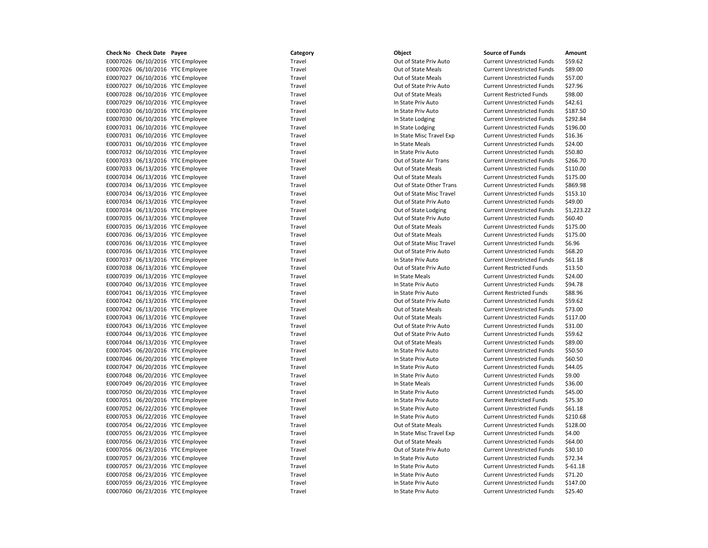E0007026 06/10/2016 YTC Employee Travel Travel Travel Current Unrestricted Funds \$59.62 E0007026 06/10/2016 YTC Employee Travel Travel Travel Out of State Meals Current Unrestricted Funds \$89.00 E0007027 06/10/2016 YTC Employee Travel Travel Travel Current Unrestricted Funds \$57.00 E0007027 06/10/2016 YTC Employee Travel Travel Travel Current Unrestricted Funds \$27.96 E0007028 06/10/2016 YTC Employee Travel Out of State Meals Current Restricted Funds \$98.00 E0007029 06/10/2016 YTC Employee Travel In State Priv Auto Current Unrestricted Funds \$42.61 E0007030 06/10/2016 YTC Employee Travel Travel Travel Travel In State Priv Auto Current Unrestricted Funds \$187.50 E0007030 06/10/2016 YTC Employee Travel Travel Travel In State Lodging Current Unrestricted Funds \$292.84 E0007031 06/10/2016 YTC Employee Travel Travel Travel In State Lodging Current Unrestricted Funds \$196.00 E0007031 06/10/2016 YTC Employee Travel Travel Travel In State Misc Travel Exp Current Unrestricted Funds \$16.36 E0007031 06/10/2016 YTC Employee Travel Travel Travel Travel In State Meals Current Unrestricted Funds \$24.00 E0007032 06/10/2016 YTC Employee Travel Travel Travel In State Priv Auto Current Unrestricted Funds \$50.80 E0007033 06/13/2016 YTC Employee Travel Travel Travel Out of State Air Trans Current Unrestricted Funds \$266.70 E0007033 06/13/2016 YTC Employee Travel Travel Travel Current Unrestricted Funds \$110.00 E0007034 06/13/2016 YTC Employee Travel Out of State Meals Current Unrestricted Funds \$175.00 E0007034 06/13/2016 YTC Employee Travel Out of State Other Trans Current Unrestricted Funds \$869.98 E0007034 06/13/2016 YTC Employee Travel Out of State Misc Travel Current Unrestricted Funds \$153.10 E0007034 06/13/2016 YTC Employee Travel Travel Travel Out of State Priv Auto Current Unrestricted Funds \$49.00 E0007034 06/13/2016 YTC Employee Travel Out of State Lodging Current Unrestricted Funds \$1,223.22 E0007035 06/13/2016 YTC Employee Travel Out of State Priv Auto Current Unrestricted Funds \$60.40 E0007035 06/13/2016 YTC Employee Travel Travel Travel Current Unrestricted Funds \$175.00 E0007036 06/13/2016 YTC Employee Travel Travel Travel Out of State Meals Current Unrestricted Funds \$175.00 E0007036 06/13/2016 YTC Employee Travel Travel Travel Out of State Misc Travel Current Unrestricted Funds \$6.96 E0007036 06/13/2016 YTC Employee Travel Travel Travel Current Unrestricted Funds \$68.20 E0007037 06/13/2016 YTC Employee Travel In State Priv Auto Current Unrestricted Funds \$61.18 E0007038 06/13/2016 YTC Employee Travel Travel Travel Current Restricted Funds \$13.50 E0007039 06/13/2016 YTC Employee Travel Travel Travel In State Meals Current Unrestricted Funds \$24.00 E0007040 06/13/2016 YTC Employee Travel Travel Travel In State Priv Auto Current Unrestricted Funds \$94.78 E0007041 06/13/2016 YTC Employee Travel In State Priv Auto Current Restricted Funds \$88.96 E0007042 06/13/2016 YTC Employee Travel Travel Travel Current Unrestricted Funds \$59.62 E0007042 06/13/2016 YTC Employee Travel Out of State Meals Current Unrestricted Funds \$73.00 E0007043 06/13/2016 YTC Employee Travel Out of State Meals Current Unrestricted Funds \$117.00 E0007043 06/13/2016 YTC Employee Travel Travel Travel Out of State Priv Auto Current Unrestricted Funds \$31.00 E0007044 06/13/2016 YTC Employee Travel Out of State Priv Auto Current Unrestricted Funds \$59.62 E0007044 06/13/2016 YTC Employee Travel Travel Travel Current Unrestricted Funds \$89.00 E0007045 06/20/2016 YTC Employee Travel Travel Travel In State Priv Auto Current Unrestricted Funds \$50.50 E0007046 06/20/2016 YTC Employee Travel Travel Travel In State Priv Auto Current Unrestricted Funds \$60.50 E0007047 06/20/2016 YTC Employee Travel Travel Travel In State Priv Auto Current Unrestricted Funds \$44.05 E0007048 06/20/2016 YTC Employee Travel Travel Travel In State Priv Auto Current Unrestricted Funds \$9.00 E0007049 06/20/2016 YTC Employee Travel Travel Travel In State Meals Current Unrestricted Funds \$36.00 E0007050 06/20/2016 YTC Employee Travel Travel Travel In State Priv Auto Current Unrestricted Funds \$45.00 E0007051 06/20/2016 YTC Employee Travel Travel Travel In State Priv Auto Current Restricted Funds \$75.30 E0007052 06/22/2016 YTC Employee Travel Travel Travel In State Priv Auto Current Unrestricted Funds \$61.18 E0007053 06/22/2016 YTC Employee Travel Travel Travel In State Priv Auto Current Unrestricted Funds \$210.68 E0007054 06/22/2016 YTC Employee Travel Out of State Meals Current Unrestricted Funds \$128.00 E0007055 06/23/2016 YTC Employee Travel In State Misc Travel Exp Current Unrestricted Funds \$4.00 E0007056 06/23/2016 YTC Employee Travel Travel Travel Current Unrestricted Funds \$64.00 E0007056 06/23/2016 YTC Employee Travel Travel Travel Out of State Priv Auto Current Unrestricted Funds \$30.10 E0007057 06/23/2016 YTC Employee Travel Travel Travel In State Priv Auto Current Unrestricted Funds \$72.34 E0007057 06/23/2016 YTC Employee Travel Travel Travel In State Priv Auto Current Unrestricted Funds \$-61.18 E0007058 06/23/2016 YTC Employee Travel Travel Travel Travel In State Priv Auto Current Unrestricted Funds \$71.20 E0007059 06/23/2016 YTC Employee Travel Travel Travel In State Priv Auto Current Unrestricted Funds \$147.00 E0007060 06/23/2016 YTC Employee Travel Travel Travel In State Priv Auto Current Unrestricted Funds \$25.40